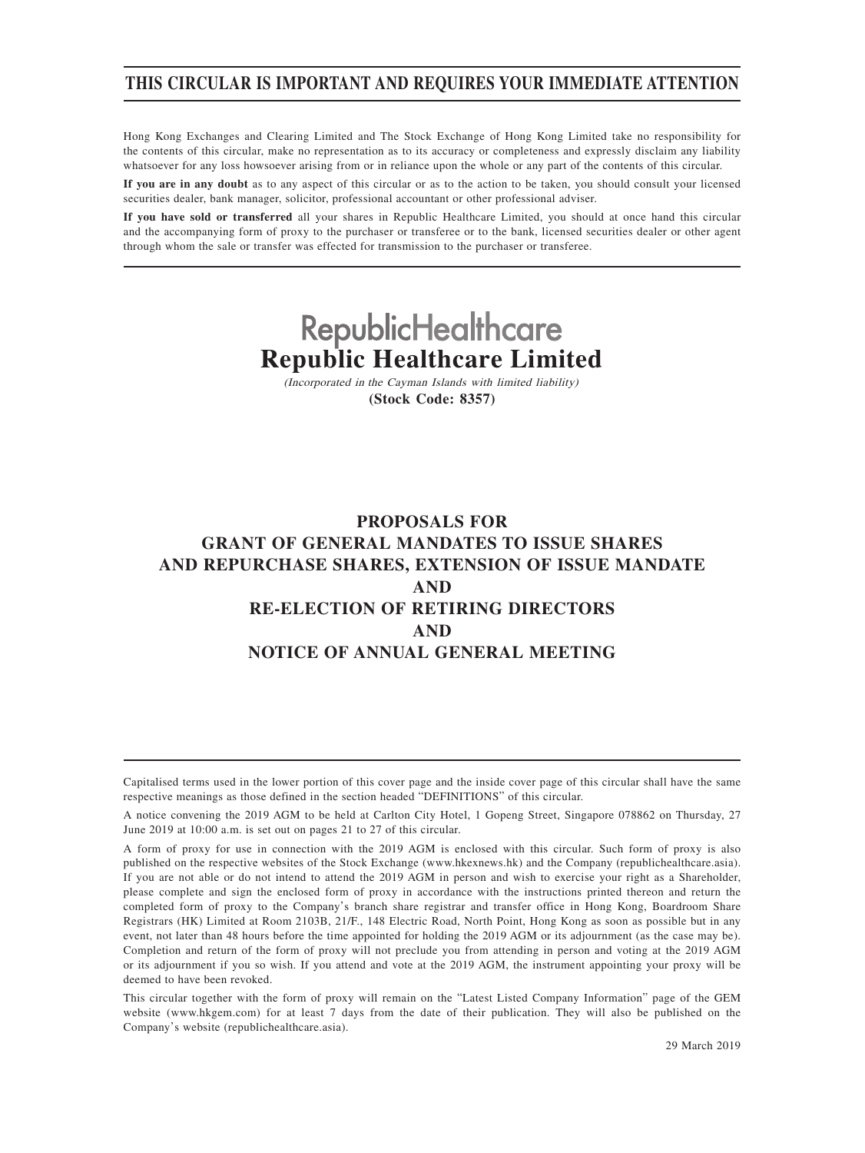## **THIS CIRCULAR IS IMPORTANT AND REQUIRES YOUR IMMEDIATE ATTENTION**

Hong Kong Exchanges and Clearing Limited and The Stock Exchange of Hong Kong Limited take no responsibility for the contents of this circular, make no representation as to its accuracy or completeness and expressly disclaim any liability whatsoever for any loss howsoever arising from or in reliance upon the whole or any part of the contents of this circular.

**If you are in any doubt** as to any aspect of this circular or as to the action to be taken, you should consult your licensed securities dealer, bank manager, solicitor, professional accountant or other professional adviser.

**If you have sold or transferred** all your shares in Republic Healthcare Limited, you should at once hand this circular and the accompanying form of proxy to the purchaser or transferee or to the bank, licensed securities dealer or other agent through whom the sale or transfer was effected for transmission to the purchaser or transferee.

# **RepublicHealthcare Republic Healthcare Limited**

(Incorporated in the Cayman Islands with limited liability) **(Stock Code: 8357)**

## **PROPOSALS FOR GRANT OF GENERAL MANDATES TO ISSUE SHARES AND REPURCHASE SHARES, EXTENSION OF ISSUE MANDATE AND RE-ELECTION OF RETIRING DIRECTORS AND NOTICE OF ANNUAL GENERAL MEETING**

Capitalised terms used in the lower portion of this cover page and the inside cover page of this circular shall have the same respective meanings as those defined in the section headed "DEFINITIONS" of this circular.

This circular together with the form of proxy will remain on the "Latest Listed Company Information" page of the GEM website (www.hkgem.com) for at least 7 days from the date of their publication. They will also be published on the Company's website (republichealthcare.asia).

A notice convening the 2019 AGM to be held at Carlton City Hotel, 1 Gopeng Street, Singapore 078862 on Thursday, 27 June 2019 at 10:00 a.m. is set out on pages 21 to 27 of this circular.

A form of proxy for use in connection with the 2019 AGM is enclosed with this circular. Such form of proxy is also published on the respective websites of the Stock Exchange (www.hkexnews.hk) and the Company (republichealthcare.asia). If you are not able or do not intend to attend the 2019 AGM in person and wish to exercise your right as a Shareholder, please complete and sign the enclosed form of proxy in accordance with the instructions printed thereon and return the completed form of proxy to the Company's branch share registrar and transfer office in Hong Kong, Boardroom Share Registrars (HK) Limited at Room 2103B, 21/F., 148 Electric Road, North Point, Hong Kong as soon as possible but in any event, not later than 48 hours before the time appointed for holding the 2019 AGM or its adjournment (as the case may be). Completion and return of the form of proxy will not preclude you from attending in person and voting at the 2019 AGM or its adjournment if you so wish. If you attend and vote at the 2019 AGM, the instrument appointing your proxy will be deemed to have been revoked.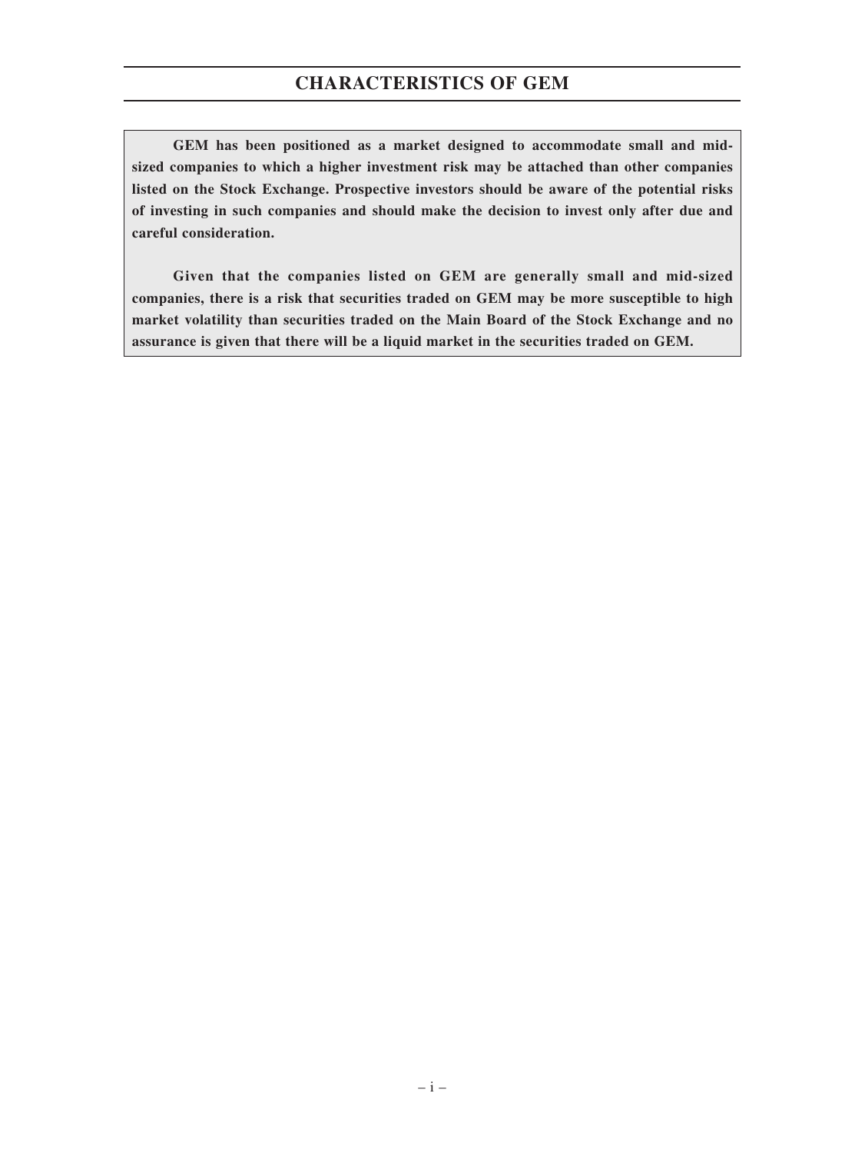**GEM has been positioned as a market designed to accommodate small and midsized companies to which a higher investment risk may be attached than other companies listed on the Stock Exchange. Prospective investors should be aware of the potential risks of investing in such companies and should make the decision to invest only after due and careful consideration.**

**Given that the companies listed on GEM are generally small and mid-sized companies, there is a risk that securities traded on GEM may be more susceptible to high market volatility than securities traded on the Main Board of the Stock Exchange and no assurance is given that there will be a liquid market in the securities traded on GEM.**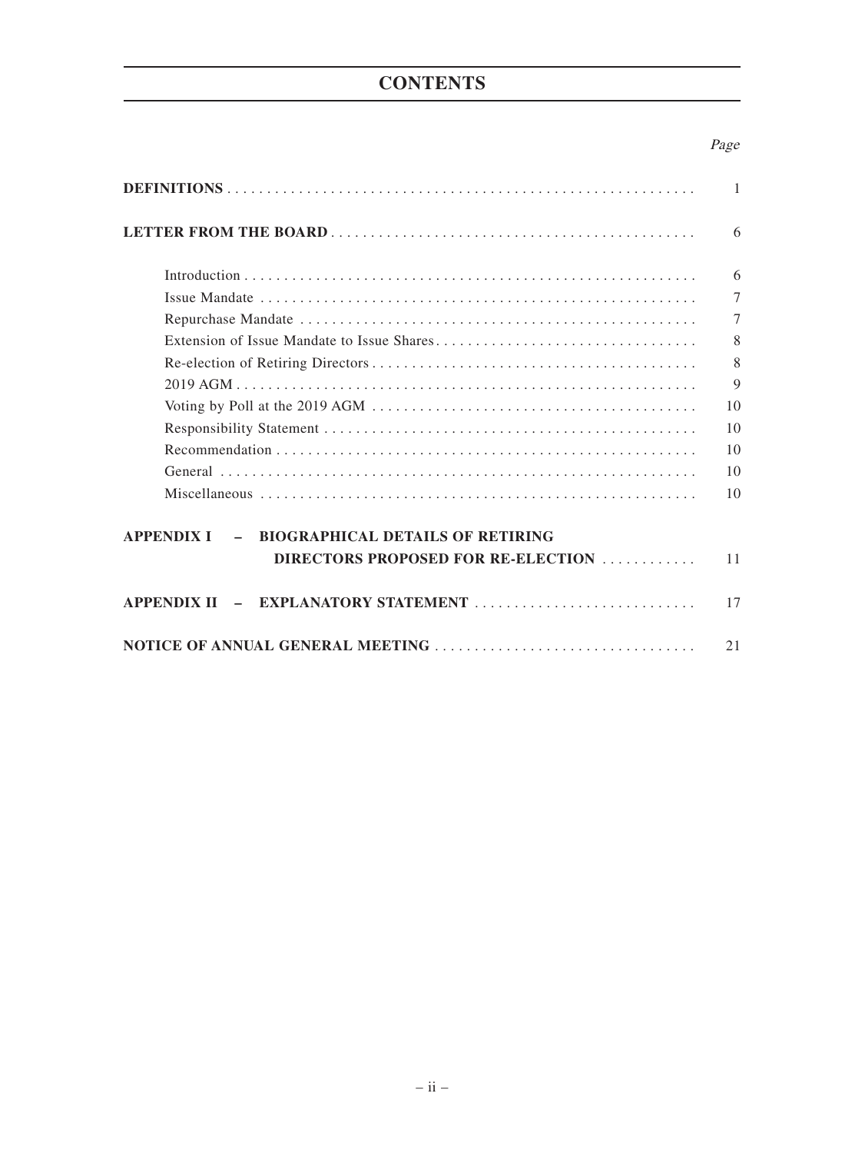## **CONTENTS**

## Page

|                                                                        | 1              |
|------------------------------------------------------------------------|----------------|
|                                                                        | 6              |
|                                                                        | 6              |
|                                                                        | $\tau$         |
|                                                                        | $\overline{7}$ |
|                                                                        | 8              |
|                                                                        | 8              |
|                                                                        | $\mathbf Q$    |
|                                                                        | 10             |
|                                                                        | 10             |
|                                                                        | 10             |
|                                                                        | 10             |
|                                                                        | 10             |
| <b>BIOGRAPHICAL DETAILS OF RETIRING</b><br><b>APPENDIX I</b><br>$\sim$ |                |
| DIRECTORS PROPOSED FOR RE-ELECTION                                     | 11             |
|                                                                        | 17             |
|                                                                        | 21             |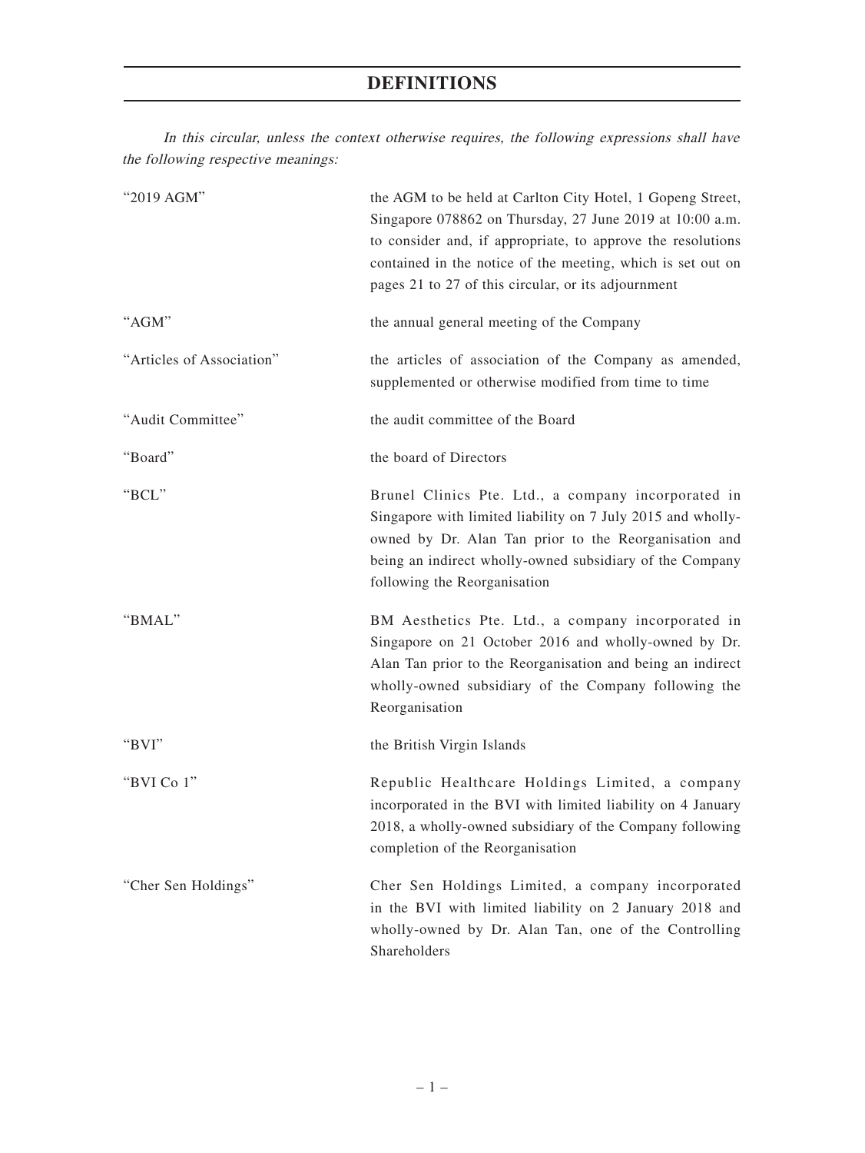In this circular, unless the context otherwise requires, the following expressions shall have the following respective meanings:

| "2019 AGM"                | the AGM to be held at Carlton City Hotel, 1 Gopeng Street,<br>Singapore 078862 on Thursday, 27 June 2019 at 10:00 a.m.<br>to consider and, if appropriate, to approve the resolutions<br>contained in the notice of the meeting, which is set out on<br>pages 21 to 27 of this circular, or its adjournment |
|---------------------------|-------------------------------------------------------------------------------------------------------------------------------------------------------------------------------------------------------------------------------------------------------------------------------------------------------------|
| "AGM"                     | the annual general meeting of the Company                                                                                                                                                                                                                                                                   |
| "Articles of Association" | the articles of association of the Company as amended,<br>supplemented or otherwise modified from time to time                                                                                                                                                                                              |
| "Audit Committee"         | the audit committee of the Board                                                                                                                                                                                                                                                                            |
| "Board"                   | the board of Directors                                                                                                                                                                                                                                                                                      |
| "BCL"                     | Brunel Clinics Pte. Ltd., a company incorporated in<br>Singapore with limited liability on 7 July 2015 and wholly-<br>owned by Dr. Alan Tan prior to the Reorganisation and<br>being an indirect wholly-owned subsidiary of the Company<br>following the Reorganisation                                     |
| "BMAL"                    | BM Aesthetics Pte. Ltd., a company incorporated in<br>Singapore on 21 October 2016 and wholly-owned by Dr.<br>Alan Tan prior to the Reorganisation and being an indirect<br>wholly-owned subsidiary of the Company following the<br>Reorganisation                                                          |
| " $BVI"$                  | the British Virgin Islands                                                                                                                                                                                                                                                                                  |
| "BVI Co 1"                | Republic Healthcare Holdings Limited, a company<br>incorporated in the BVI with limited liability on 4 January<br>2018, a wholly-owned subsidiary of the Company following<br>completion of the Reorganisation                                                                                              |
| "Cher Sen Holdings"       | Cher Sen Holdings Limited, a company incorporated<br>in the BVI with limited liability on 2 January 2018 and<br>wholly-owned by Dr. Alan Tan, one of the Controlling<br>Shareholders                                                                                                                        |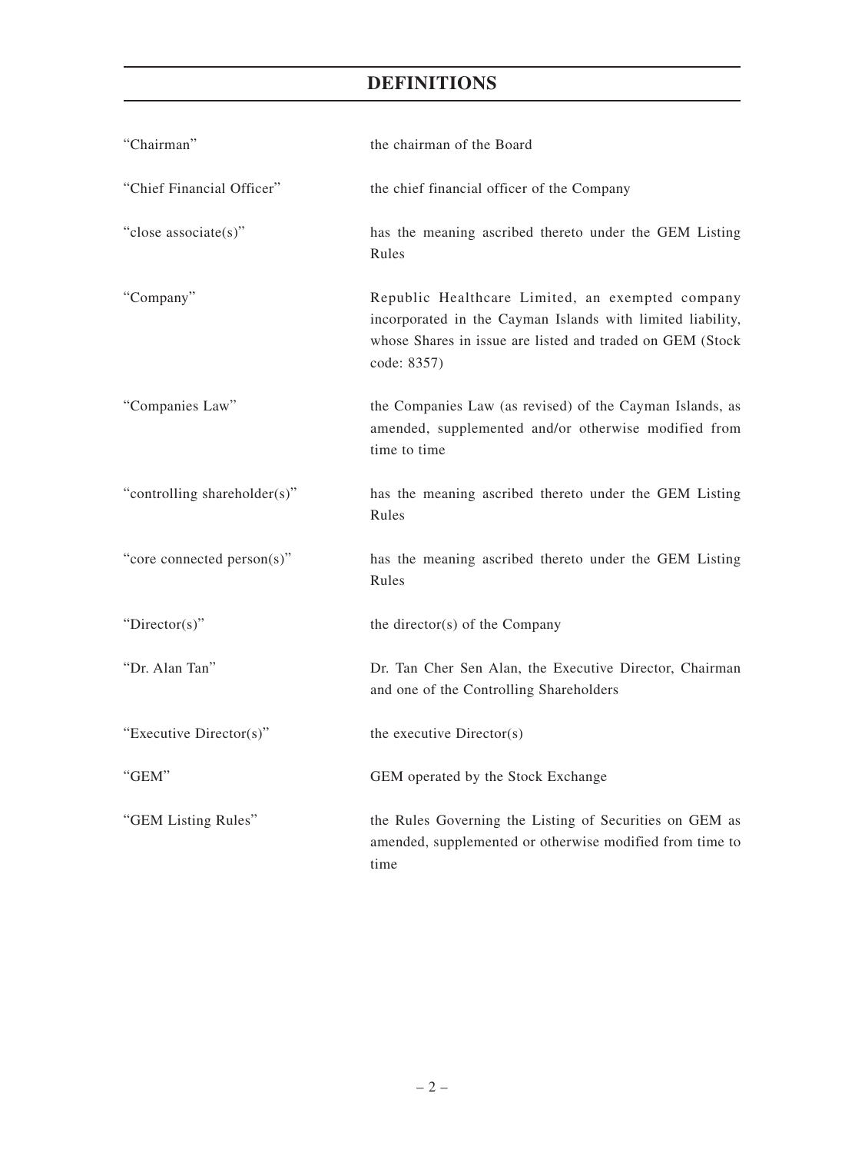| "Chairman"                   | the chairman of the Board                                                                                                                                                                  |
|------------------------------|--------------------------------------------------------------------------------------------------------------------------------------------------------------------------------------------|
| "Chief Financial Officer"    | the chief financial officer of the Company                                                                                                                                                 |
| "close associate(s)"         | has the meaning ascribed thereto under the GEM Listing<br>Rules                                                                                                                            |
| "Company"                    | Republic Healthcare Limited, an exempted company<br>incorporated in the Cayman Islands with limited liability,<br>whose Shares in issue are listed and traded on GEM (Stock<br>code: 8357) |
| "Companies Law"              | the Companies Law (as revised) of the Cayman Islands, as<br>amended, supplemented and/or otherwise modified from<br>time to time                                                           |
| "controlling shareholder(s)" | has the meaning ascribed thereto under the GEM Listing<br>Rules                                                                                                                            |
| "core connected person(s)"   | has the meaning ascribed thereto under the GEM Listing<br>Rules                                                                                                                            |
| "Director(s)"                | the director(s) of the Company                                                                                                                                                             |
| "Dr. Alan Tan"               | Dr. Tan Cher Sen Alan, the Executive Director, Chairman<br>and one of the Controlling Shareholders                                                                                         |
| "Executive Director(s)"      | the executive Director(s)                                                                                                                                                                  |
| "GEM"                        | GEM operated by the Stock Exchange                                                                                                                                                         |
| "GEM Listing Rules"          | the Rules Governing the Listing of Securities on GEM as<br>amended, supplemented or otherwise modified from time to<br>time                                                                |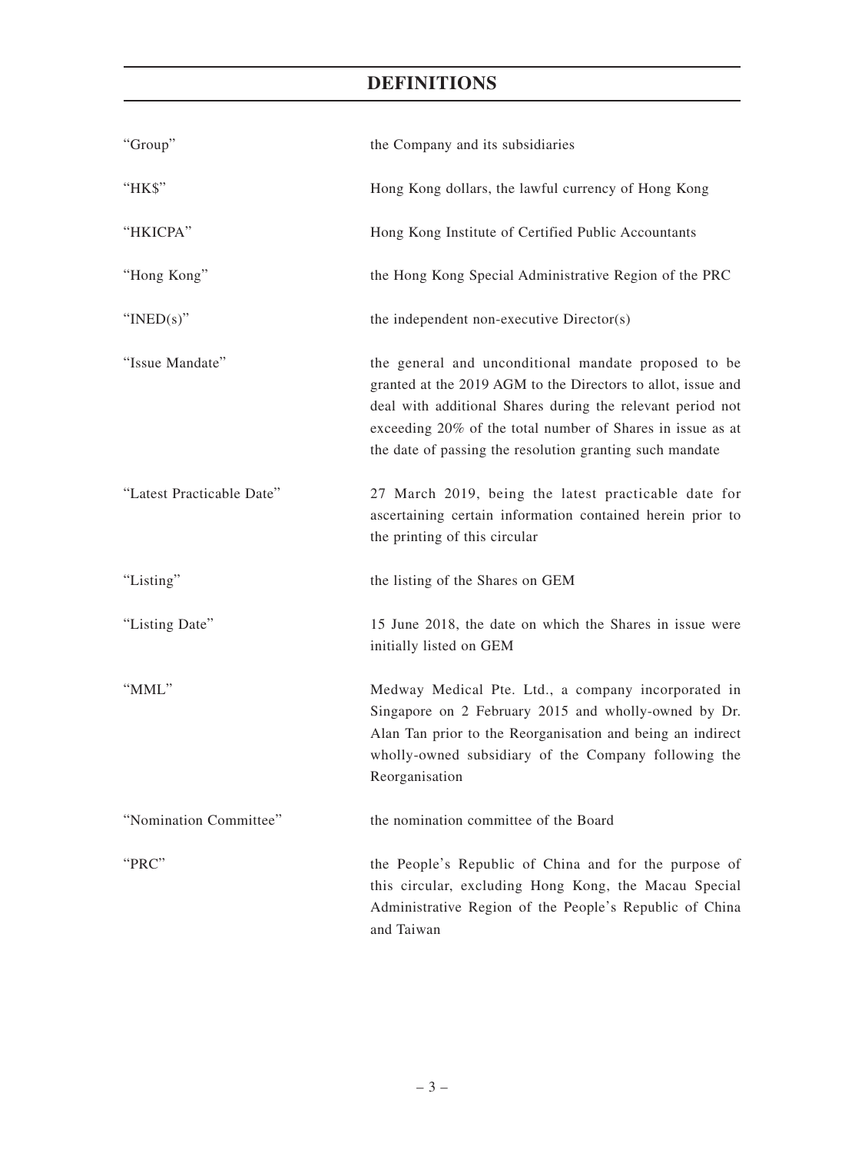| "Group"                   | the Company and its subsidiaries                                                                                                                                                                                                                                                                             |  |
|---------------------------|--------------------------------------------------------------------------------------------------------------------------------------------------------------------------------------------------------------------------------------------------------------------------------------------------------------|--|
| "НК\$"                    | Hong Kong dollars, the lawful currency of Hong Kong                                                                                                                                                                                                                                                          |  |
| "HKICPA"                  | Hong Kong Institute of Certified Public Accountants                                                                                                                                                                                                                                                          |  |
| "Hong Kong"               | the Hong Kong Special Administrative Region of the PRC                                                                                                                                                                                                                                                       |  |
| " $INED(s)$ "             | the independent non-executive Director(s)                                                                                                                                                                                                                                                                    |  |
| "Issue Mandate"           | the general and unconditional mandate proposed to be<br>granted at the 2019 AGM to the Directors to allot, issue and<br>deal with additional Shares during the relevant period not<br>exceeding 20% of the total number of Shares in issue as at<br>the date of passing the resolution granting such mandate |  |
| "Latest Practicable Date" | 27 March 2019, being the latest practicable date for<br>ascertaining certain information contained herein prior to<br>the printing of this circular                                                                                                                                                          |  |
| "Listing"                 | the listing of the Shares on GEM                                                                                                                                                                                                                                                                             |  |
| "Listing Date"            | 15 June 2018, the date on which the Shares in issue were<br>initially listed on GEM                                                                                                                                                                                                                          |  |
| "MML"                     | Medway Medical Pte. Ltd., a company incorporated in<br>Singapore on 2 February 2015 and wholly-owned by Dr.<br>Alan Tan prior to the Reorganisation and being an indirect<br>wholly-owned subsidiary of the Company following the<br>Reorganisation                                                          |  |
| "Nomination Committee"    | the nomination committee of the Board                                                                                                                                                                                                                                                                        |  |
| "PRC"                     | the People's Republic of China and for the purpose of<br>this circular, excluding Hong Kong, the Macau Special<br>Administrative Region of the People's Republic of China<br>and Taiwan                                                                                                                      |  |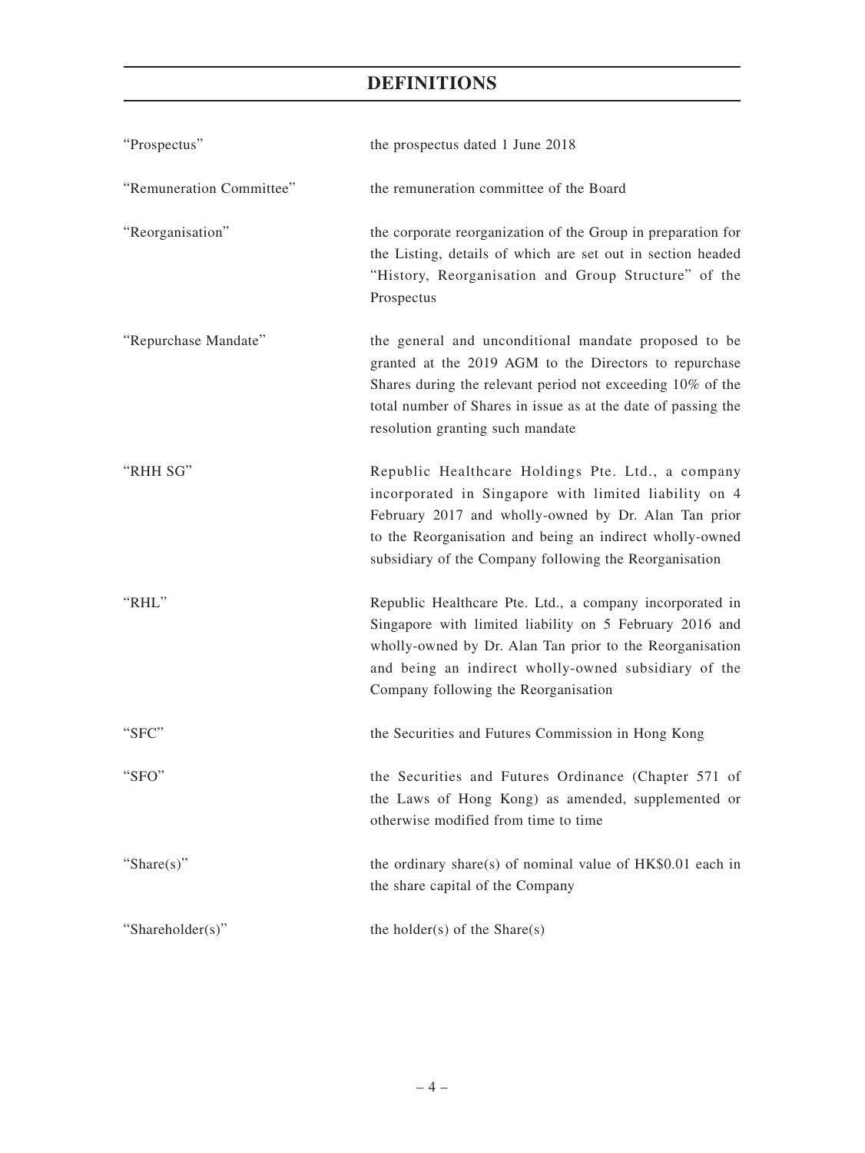| "Prospectus"             | the prospectus dated 1 June 2018                                                                                                                                                                                                                                                         |
|--------------------------|------------------------------------------------------------------------------------------------------------------------------------------------------------------------------------------------------------------------------------------------------------------------------------------|
| "Remuneration Committee" | the remuneration committee of the Board                                                                                                                                                                                                                                                  |
| "Reorganisation"         | the corporate reorganization of the Group in preparation for<br>the Listing, details of which are set out in section headed<br>"History, Reorganisation and Group Structure" of the<br>Prospectus                                                                                        |
| "Repurchase Mandate"     | the general and unconditional mandate proposed to be<br>granted at the 2019 AGM to the Directors to repurchase<br>Shares during the relevant period not exceeding 10% of the<br>total number of Shares in issue as at the date of passing the<br>resolution granting such mandate        |
| "RHH SG"                 | Republic Healthcare Holdings Pte. Ltd., a company<br>incorporated in Singapore with limited liability on 4<br>February 2017 and wholly-owned by Dr. Alan Tan prior<br>to the Reorganisation and being an indirect wholly-owned<br>subsidiary of the Company following the Reorganisation |
| "RHL"                    | Republic Healthcare Pte. Ltd., a company incorporated in<br>Singapore with limited liability on 5 February 2016 and<br>wholly-owned by Dr. Alan Tan prior to the Reorganisation<br>and being an indirect wholly-owned subsidiary of the<br>Company following the Reorganisation          |
| "SFC"                    | the Securities and Futures Commission in Hong Kong                                                                                                                                                                                                                                       |
| "SFO"                    | the Securities and Futures Ordinance (Chapter 571 of<br>the Laws of Hong Kong) as amended, supplemented or<br>otherwise modified from time to time                                                                                                                                       |
| "Share $(s)$ "           | the ordinary share(s) of nominal value of $HK$0.01$ each in<br>the share capital of the Company                                                                                                                                                                                          |
| "Shareholder(s)"         | the holder( $s$ ) of the Share( $s$ )                                                                                                                                                                                                                                                    |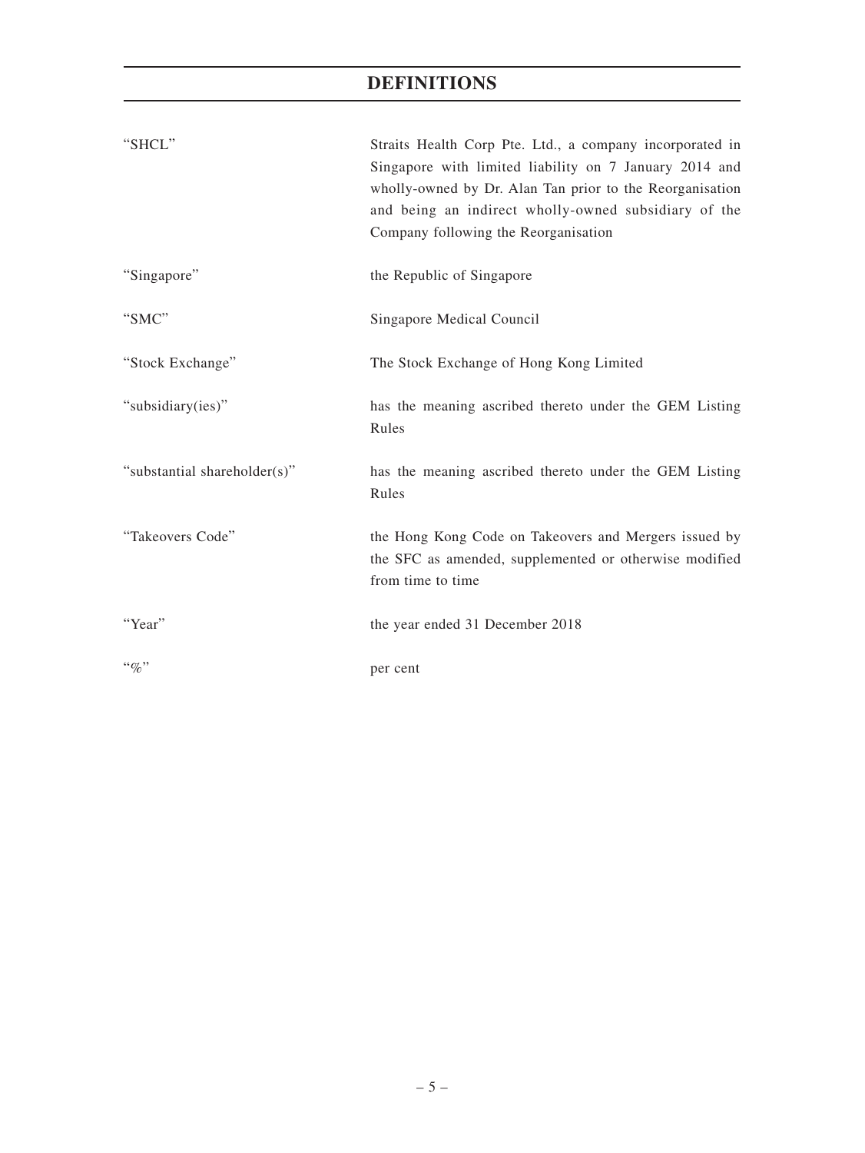| "SHCL"                       | Straits Health Corp Pte. Ltd., a company incorporated in<br>Singapore with limited liability on 7 January 2014 and<br>wholly-owned by Dr. Alan Tan prior to the Reorganisation<br>and being an indirect wholly-owned subsidiary of the<br>Company following the Reorganisation |
|------------------------------|--------------------------------------------------------------------------------------------------------------------------------------------------------------------------------------------------------------------------------------------------------------------------------|
| "Singapore"                  | the Republic of Singapore                                                                                                                                                                                                                                                      |
| "SMC"                        | Singapore Medical Council                                                                                                                                                                                                                                                      |
| "Stock Exchange"             | The Stock Exchange of Hong Kong Limited                                                                                                                                                                                                                                        |
| "subsidiary(ies)"            | has the meaning ascribed thereto under the GEM Listing<br>Rules                                                                                                                                                                                                                |
| "substantial shareholder(s)" | has the meaning ascribed thereto under the GEM Listing<br>Rules                                                                                                                                                                                                                |
| "Takeovers Code"             | the Hong Kong Code on Takeovers and Mergers issued by<br>the SFC as amended, supplemented or otherwise modified<br>from time to time                                                                                                                                           |
| "Year"                       | the year ended 31 December 2018                                                                                                                                                                                                                                                |
| $``q_0"$                     | per cent                                                                                                                                                                                                                                                                       |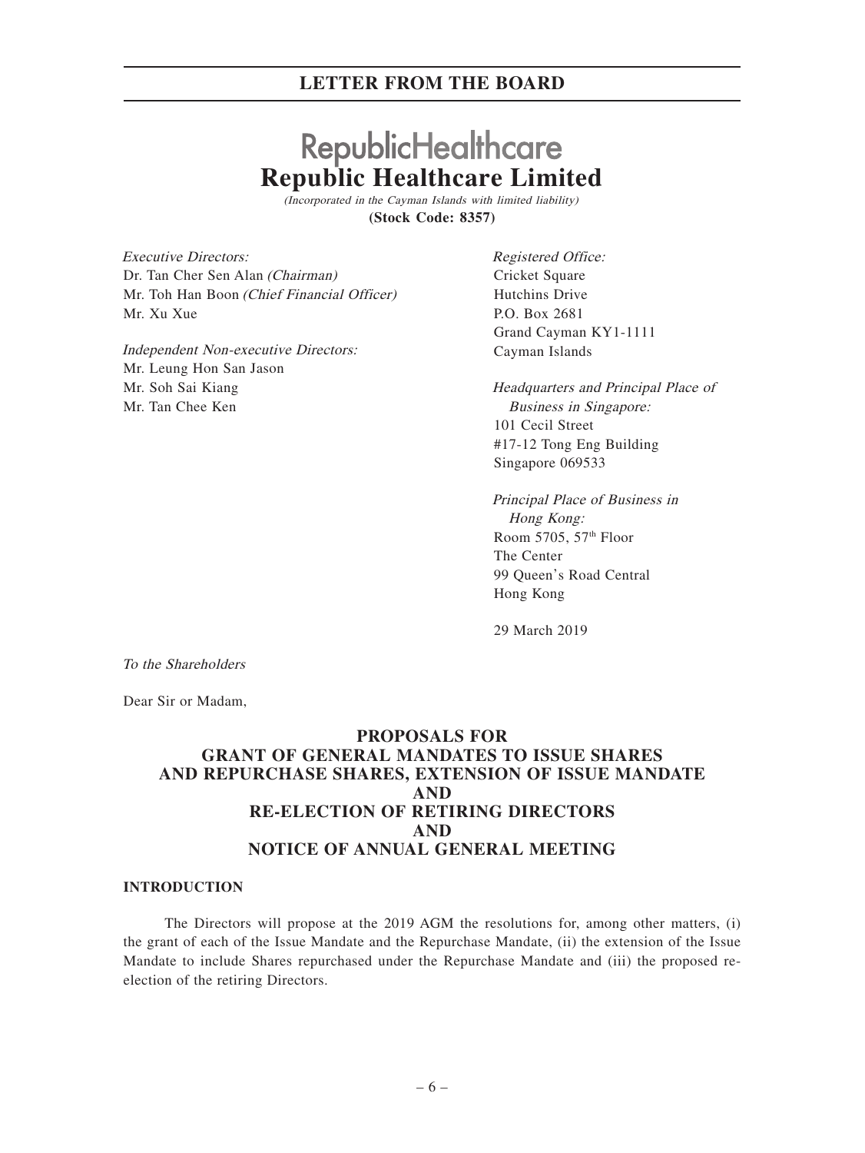# **RepublicHealthcare Republic Healthcare Limited**

(Incorporated in the Cayman Islands with limited liability) **(Stock Code: 8357)**

Executive Directors: Dr. Tan Cher Sen Alan (Chairman) Mr. Toh Han Boon (Chief Financial Officer) Mr. Xu Xue

Independent Non-executive Directors: Mr. Leung Hon San Jason Mr. Soh Sai Kiang Mr. Tan Chee Ken

Registered Office: Cricket Square Hutchins Drive P.O. Box 2681 Grand Cayman KY1-1111 Cayman Islands

Headquarters and Principal Place of Business in Singapore: 101 Cecil Street #17-12 Tong Eng Building Singapore 069533

Principal Place of Business in Hong Kong: Room 5705, 57th Floor The Center 99 Queen's Road Central Hong Kong

29 March 2019

To the Shareholders

Dear Sir or Madam,

## **PROPOSALS FOR GRANT OF GENERAL MANDATES TO ISSUE SHARES AND REPURCHASE SHARES, EXTENSION OF ISSUE MANDATE AND RE-ELECTION OF RETIRING DIRECTORS AND NOTICE OF ANNUAL GENERAL MEETING**

#### **INTRODUCTION**

The Directors will propose at the 2019 AGM the resolutions for, among other matters, (i) the grant of each of the Issue Mandate and the Repurchase Mandate, (ii) the extension of the Issue Mandate to include Shares repurchased under the Repurchase Mandate and (iii) the proposed reelection of the retiring Directors.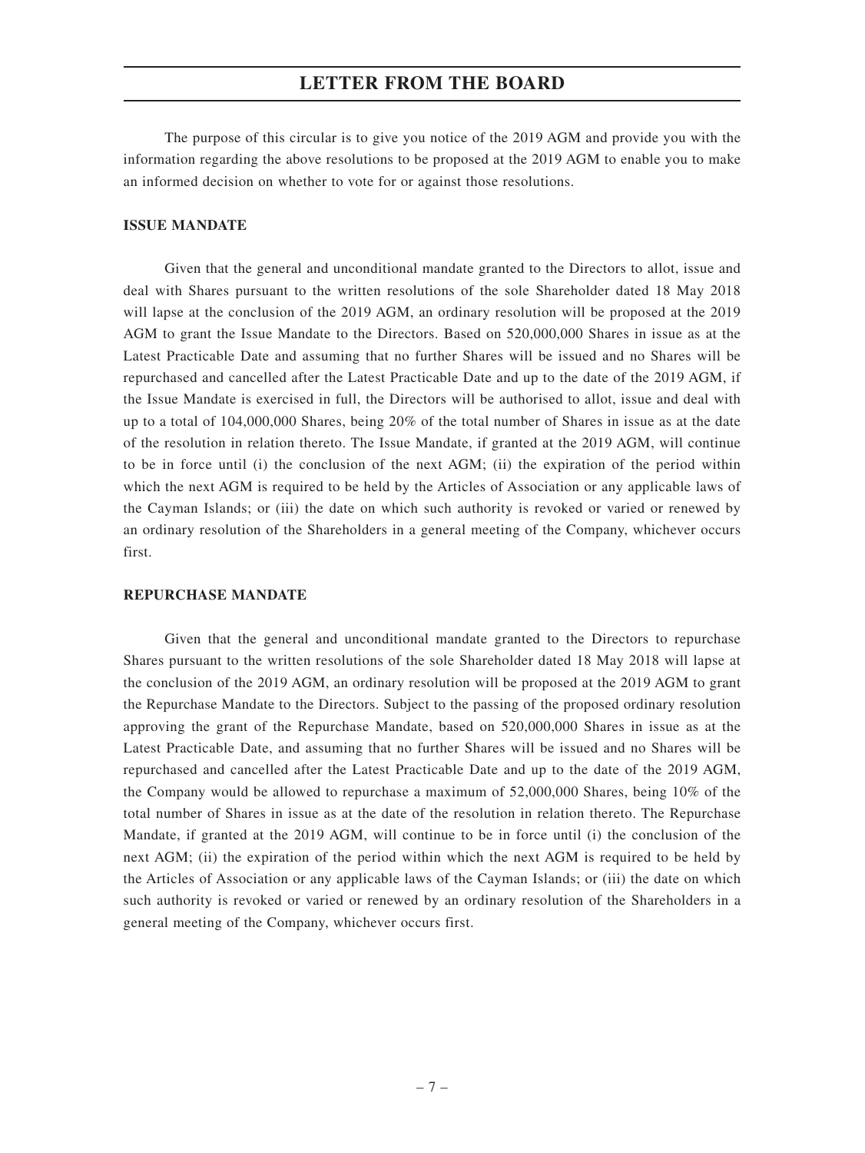The purpose of this circular is to give you notice of the 2019 AGM and provide you with the information regarding the above resolutions to be proposed at the 2019 AGM to enable you to make an informed decision on whether to vote for or against those resolutions.

#### **ISSUE MANDATE**

Given that the general and unconditional mandate granted to the Directors to allot, issue and deal with Shares pursuant to the written resolutions of the sole Shareholder dated 18 May 2018 will lapse at the conclusion of the 2019 AGM, an ordinary resolution will be proposed at the 2019 AGM to grant the Issue Mandate to the Directors. Based on 520,000,000 Shares in issue as at the Latest Practicable Date and assuming that no further Shares will be issued and no Shares will be repurchased and cancelled after the Latest Practicable Date and up to the date of the 2019 AGM, if the Issue Mandate is exercised in full, the Directors will be authorised to allot, issue and deal with up to a total of 104,000,000 Shares, being 20% of the total number of Shares in issue as at the date of the resolution in relation thereto. The Issue Mandate, if granted at the 2019 AGM, will continue to be in force until (i) the conclusion of the next AGM; (ii) the expiration of the period within which the next AGM is required to be held by the Articles of Association or any applicable laws of the Cayman Islands; or (iii) the date on which such authority is revoked or varied or renewed by an ordinary resolution of the Shareholders in a general meeting of the Company, whichever occurs first.

#### **REPURCHASE MANDATE**

Given that the general and unconditional mandate granted to the Directors to repurchase Shares pursuant to the written resolutions of the sole Shareholder dated 18 May 2018 will lapse at the conclusion of the 2019 AGM, an ordinary resolution will be proposed at the 2019 AGM to grant the Repurchase Mandate to the Directors. Subject to the passing of the proposed ordinary resolution approving the grant of the Repurchase Mandate, based on 520,000,000 Shares in issue as at the Latest Practicable Date, and assuming that no further Shares will be issued and no Shares will be repurchased and cancelled after the Latest Practicable Date and up to the date of the 2019 AGM, the Company would be allowed to repurchase a maximum of 52,000,000 Shares, being 10% of the total number of Shares in issue as at the date of the resolution in relation thereto. The Repurchase Mandate, if granted at the 2019 AGM, will continue to be in force until (i) the conclusion of the next AGM; (ii) the expiration of the period within which the next AGM is required to be held by the Articles of Association or any applicable laws of the Cayman Islands; or (iii) the date on which such authority is revoked or varied or renewed by an ordinary resolution of the Shareholders in a general meeting of the Company, whichever occurs first.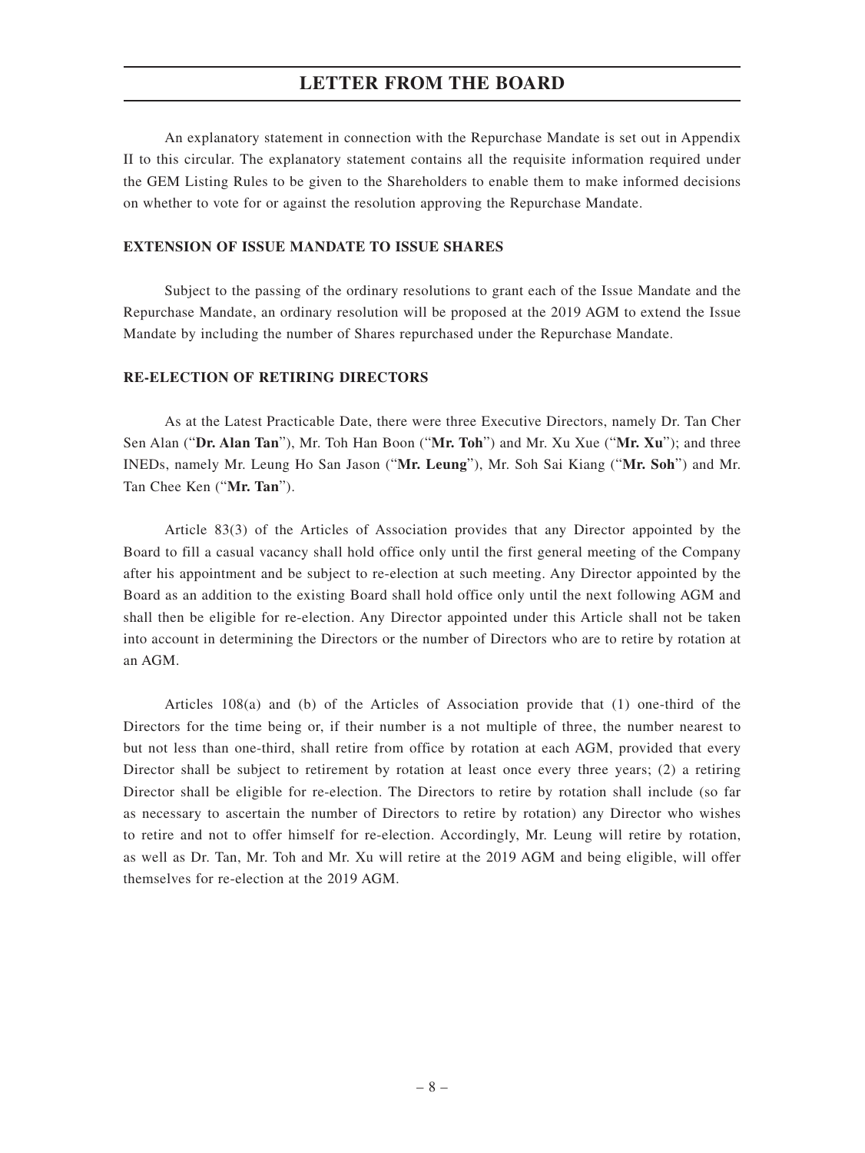An explanatory statement in connection with the Repurchase Mandate is set out in Appendix II to this circular. The explanatory statement contains all the requisite information required under the GEM Listing Rules to be given to the Shareholders to enable them to make informed decisions on whether to vote for or against the resolution approving the Repurchase Mandate.

#### **EXTENSION OF ISSUE MANDATE TO ISSUE SHARES**

Subject to the passing of the ordinary resolutions to grant each of the Issue Mandate and the Repurchase Mandate, an ordinary resolution will be proposed at the 2019 AGM to extend the Issue Mandate by including the number of Shares repurchased under the Repurchase Mandate.

#### **RE-ELECTION OF RETIRING DIRECTORS**

As at the Latest Practicable Date, there were three Executive Directors, namely Dr. Tan Cher Sen Alan ("**Dr. Alan Tan**"), Mr. Toh Han Boon ("**Mr. Toh**") and Mr. Xu Xue ("**Mr. Xu**"); and three INEDs, namely Mr. Leung Ho San Jason ("**Mr. Leung**"), Mr. Soh Sai Kiang ("**Mr. Soh**") and Mr. Tan Chee Ken ("**Mr. Tan**").

Article 83(3) of the Articles of Association provides that any Director appointed by the Board to fill a casual vacancy shall hold office only until the first general meeting of the Company after his appointment and be subject to re-election at such meeting. Any Director appointed by the Board as an addition to the existing Board shall hold office only until the next following AGM and shall then be eligible for re-election. Any Director appointed under this Article shall not be taken into account in determining the Directors or the number of Directors who are to retire by rotation at an AGM.

Articles 108(a) and (b) of the Articles of Association provide that (1) one-third of the Directors for the time being or, if their number is a not multiple of three, the number nearest to but not less than one-third, shall retire from office by rotation at each AGM, provided that every Director shall be subject to retirement by rotation at least once every three years; (2) a retiring Director shall be eligible for re-election. The Directors to retire by rotation shall include (so far as necessary to ascertain the number of Directors to retire by rotation) any Director who wishes to retire and not to offer himself for re-election. Accordingly, Mr. Leung will retire by rotation, as well as Dr. Tan, Mr. Toh and Mr. Xu will retire at the 2019 AGM and being eligible, will offer themselves for re-election at the 2019 AGM.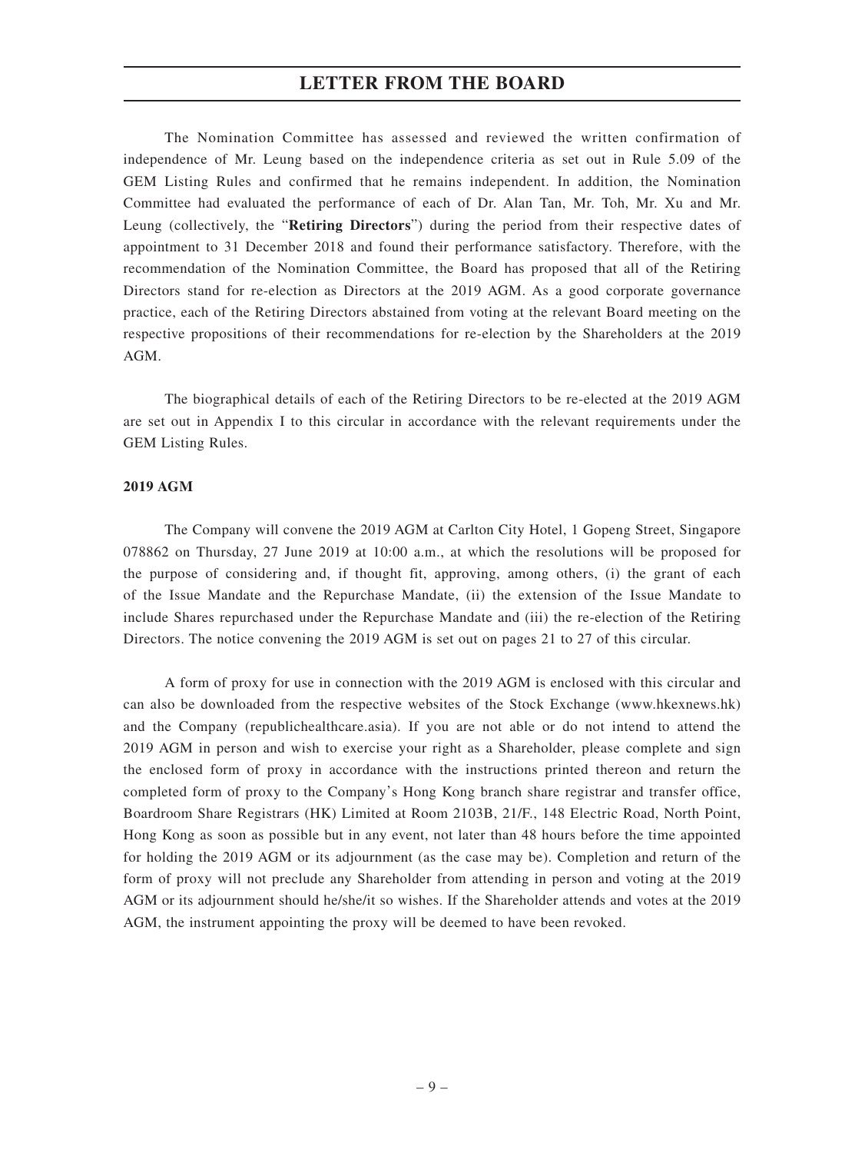The Nomination Committee has assessed and reviewed the written confirmation of independence of Mr. Leung based on the independence criteria as set out in Rule 5.09 of the GEM Listing Rules and confirmed that he remains independent. In addition, the Nomination Committee had evaluated the performance of each of Dr. Alan Tan, Mr. Toh, Mr. Xu and Mr. Leung (collectively, the "**Retiring Directors**") during the period from their respective dates of appointment to 31 December 2018 and found their performance satisfactory. Therefore, with the recommendation of the Nomination Committee, the Board has proposed that all of the Retiring Directors stand for re-election as Directors at the 2019 AGM. As a good corporate governance practice, each of the Retiring Directors abstained from voting at the relevant Board meeting on the respective propositions of their recommendations for re-election by the Shareholders at the 2019 AGM.

The biographical details of each of the Retiring Directors to be re-elected at the 2019 AGM are set out in Appendix I to this circular in accordance with the relevant requirements under the GEM Listing Rules.

#### **2019 AGM**

The Company will convene the 2019 AGM at Carlton City Hotel, 1 Gopeng Street, Singapore 078862 on Thursday, 27 June 2019 at 10:00 a.m., at which the resolutions will be proposed for the purpose of considering and, if thought fit, approving, among others, (i) the grant of each of the Issue Mandate and the Repurchase Mandate, (ii) the extension of the Issue Mandate to include Shares repurchased under the Repurchase Mandate and (iii) the re-election of the Retiring Directors. The notice convening the 2019 AGM is set out on pages 21 to 27 of this circular.

A form of proxy for use in connection with the 2019 AGM is enclosed with this circular and can also be downloaded from the respective websites of the Stock Exchange (www.hkexnews.hk) and the Company (republichealthcare.asia). If you are not able or do not intend to attend the 2019 AGM in person and wish to exercise your right as a Shareholder, please complete and sign the enclosed form of proxy in accordance with the instructions printed thereon and return the completed form of proxy to the Company's Hong Kong branch share registrar and transfer office, Boardroom Share Registrars (HK) Limited at Room 2103B, 21/F., 148 Electric Road, North Point, Hong Kong as soon as possible but in any event, not later than 48 hours before the time appointed for holding the 2019 AGM or its adjournment (as the case may be). Completion and return of the form of proxy will not preclude any Shareholder from attending in person and voting at the 2019 AGM or its adjournment should he/she/it so wishes. If the Shareholder attends and votes at the 2019 AGM, the instrument appointing the proxy will be deemed to have been revoked.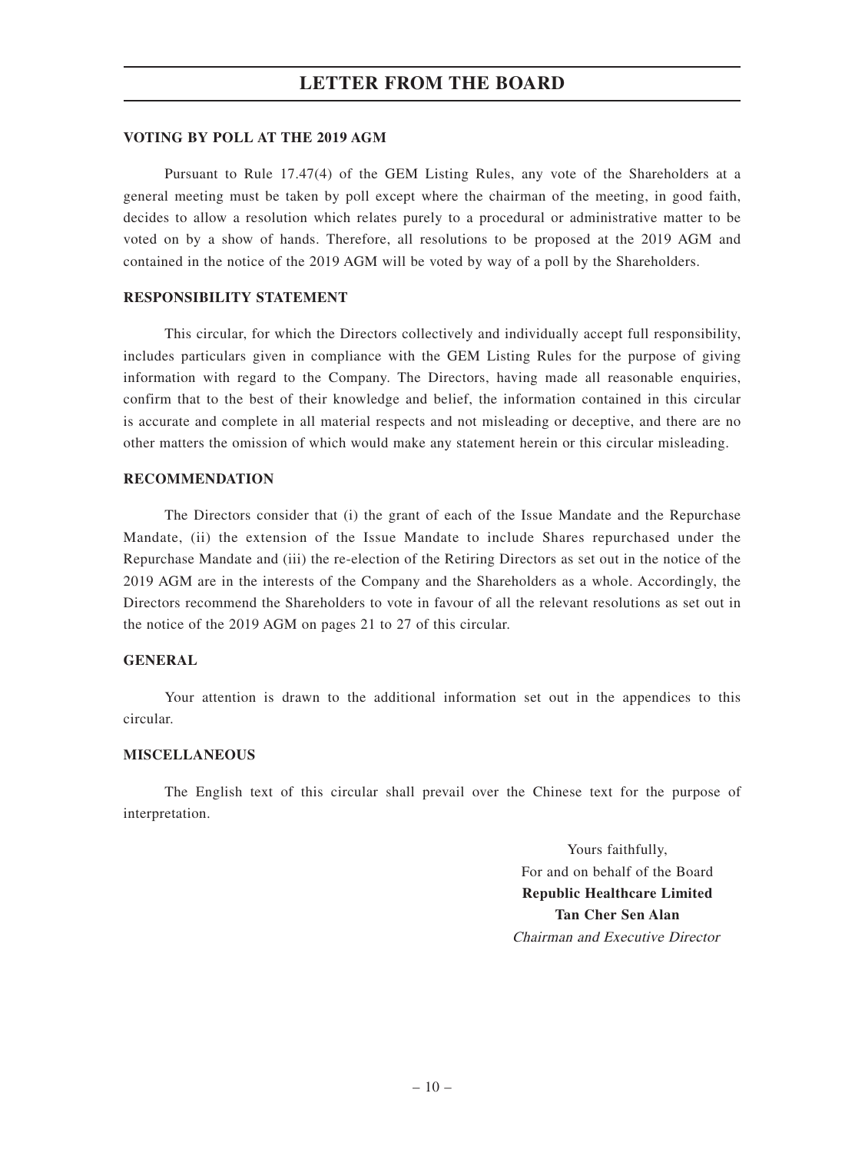#### **VOTING BY POLL AT THE 2019 AGM**

Pursuant to Rule 17.47(4) of the GEM Listing Rules, any vote of the Shareholders at a general meeting must be taken by poll except where the chairman of the meeting, in good faith, decides to allow a resolution which relates purely to a procedural or administrative matter to be voted on by a show of hands. Therefore, all resolutions to be proposed at the 2019 AGM and contained in the notice of the 2019 AGM will be voted by way of a poll by the Shareholders.

#### **RESPONSIBILITY STATEMENT**

This circular, for which the Directors collectively and individually accept full responsibility, includes particulars given in compliance with the GEM Listing Rules for the purpose of giving information with regard to the Company. The Directors, having made all reasonable enquiries, confirm that to the best of their knowledge and belief, the information contained in this circular is accurate and complete in all material respects and not misleading or deceptive, and there are no other matters the omission of which would make any statement herein or this circular misleading.

#### **RECOMMENDATION**

The Directors consider that (i) the grant of each of the Issue Mandate and the Repurchase Mandate, (ii) the extension of the Issue Mandate to include Shares repurchased under the Repurchase Mandate and (iii) the re-election of the Retiring Directors as set out in the notice of the 2019 AGM are in the interests of the Company and the Shareholders as a whole. Accordingly, the Directors recommend the Shareholders to vote in favour of all the relevant resolutions as set out in the notice of the 2019 AGM on pages 21 to 27 of this circular.

#### **GENERAL**

Your attention is drawn to the additional information set out in the appendices to this circular.

#### **MISCELLANEOUS**

The English text of this circular shall prevail over the Chinese text for the purpose of interpretation.

> Yours faithfully, For and on behalf of the Board **Republic Healthcare Limited Tan Cher Sen Alan** Chairman and Executive Director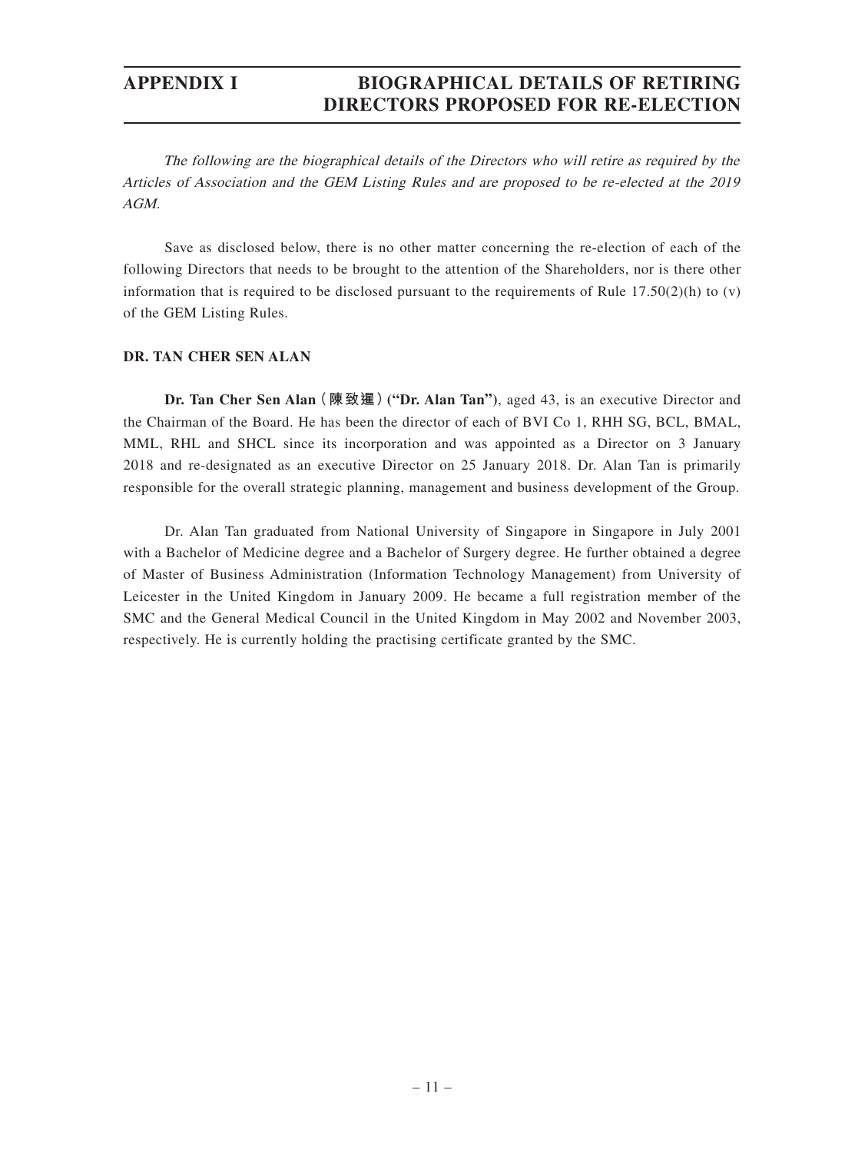The following are the biographical details of the Directors who will retire as required by the Articles of Association and the GEM Listing Rules and are proposed to be re-elected at the 2019 AGM.

Save as disclosed below, there is no other matter concerning the re-election of each of the following Directors that needs to be brought to the attention of the Shareholders, nor is there other information that is required to be disclosed pursuant to the requirements of Rule  $17.50(2)(h)$  to (v) of the GEM Listing Rules.

### **DR. TAN CHER SEN ALAN**

**Dr. Tan Cher Sen Alan(陳致暹)("Dr. Alan Tan")**, aged 43, is an executive Director and the Chairman of the Board. He has been the director of each of BVI Co 1, RHH SG, BCL, BMAL, MML, RHL and SHCL since its incorporation and was appointed as a Director on 3 January 2018 and re-designated as an executive Director on 25 January 2018. Dr. Alan Tan is primarily responsible for the overall strategic planning, management and business development of the Group.

Dr. Alan Tan graduated from National University of Singapore in Singapore in July 2001 with a Bachelor of Medicine degree and a Bachelor of Surgery degree. He further obtained a degree of Master of Business Administration (Information Technology Management) from University of Leicester in the United Kingdom in January 2009. He became a full registration member of the SMC and the General Medical Council in the United Kingdom in May 2002 and November 2003, respectively. He is currently holding the practising certificate granted by the SMC.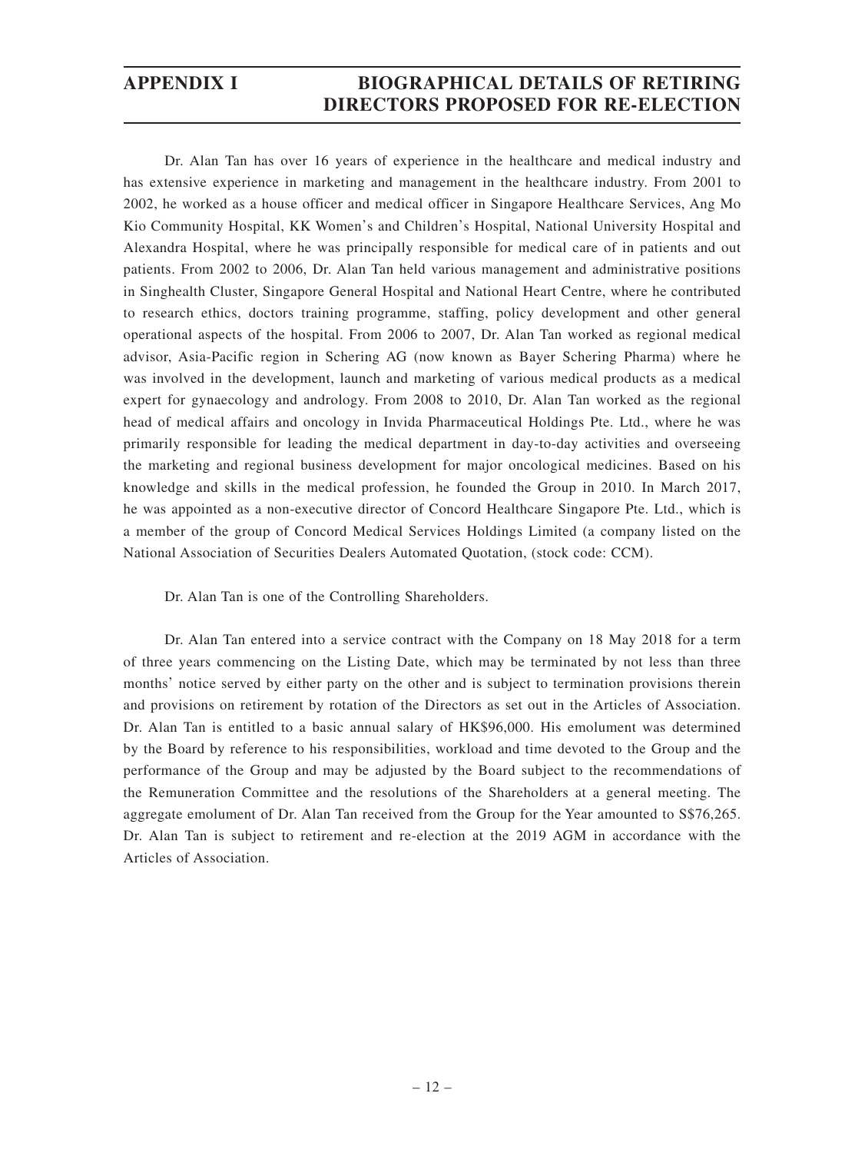Dr. Alan Tan has over 16 years of experience in the healthcare and medical industry and has extensive experience in marketing and management in the healthcare industry. From 2001 to 2002, he worked as a house officer and medical officer in Singapore Healthcare Services, Ang Mo Kio Community Hospital, KK Women's and Children's Hospital, National University Hospital and Alexandra Hospital, where he was principally responsible for medical care of in patients and out patients. From 2002 to 2006, Dr. Alan Tan held various management and administrative positions in Singhealth Cluster, Singapore General Hospital and National Heart Centre, where he contributed to research ethics, doctors training programme, staffing, policy development and other general operational aspects of the hospital. From 2006 to 2007, Dr. Alan Tan worked as regional medical advisor, Asia-Pacific region in Schering AG (now known as Bayer Schering Pharma) where he was involved in the development, launch and marketing of various medical products as a medical expert for gynaecology and andrology. From 2008 to 2010, Dr. Alan Tan worked as the regional head of medical affairs and oncology in Invida Pharmaceutical Holdings Pte. Ltd., where he was primarily responsible for leading the medical department in day-to-day activities and overseeing the marketing and regional business development for major oncological medicines. Based on his knowledge and skills in the medical profession, he founded the Group in 2010. In March 2017, he was appointed as a non-executive director of Concord Healthcare Singapore Pte. Ltd., which is a member of the group of Concord Medical Services Holdings Limited (a company listed on the National Association of Securities Dealers Automated Quotation, (stock code: CCM).

Dr. Alan Tan is one of the Controlling Shareholders.

Dr. Alan Tan entered into a service contract with the Company on 18 May 2018 for a term of three years commencing on the Listing Date, which may be terminated by not less than three months' notice served by either party on the other and is subject to termination provisions therein and provisions on retirement by rotation of the Directors as set out in the Articles of Association. Dr. Alan Tan is entitled to a basic annual salary of HK\$96,000. His emolument was determined by the Board by reference to his responsibilities, workload and time devoted to the Group and the performance of the Group and may be adjusted by the Board subject to the recommendations of the Remuneration Committee and the resolutions of the Shareholders at a general meeting. The aggregate emolument of Dr. Alan Tan received from the Group for the Year amounted to S\$76,265. Dr. Alan Tan is subject to retirement and re-election at the 2019 AGM in accordance with the Articles of Association.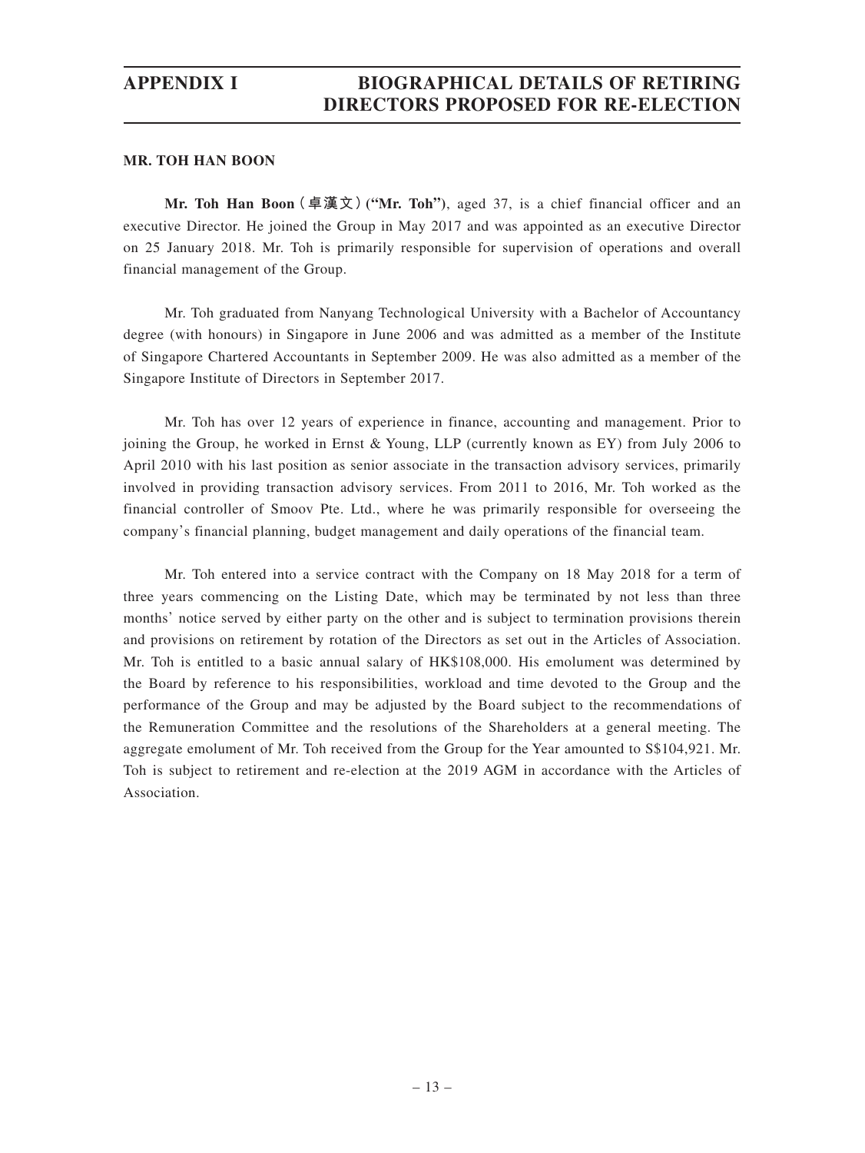#### **MR. TOH HAN BOON**

**Mr. Toh Han Boon(卓漢文)("Mr. Toh")**, aged 37, is a chief financial officer and an executive Director. He joined the Group in May 2017 and was appointed as an executive Director on 25 January 2018. Mr. Toh is primarily responsible for supervision of operations and overall financial management of the Group.

Mr. Toh graduated from Nanyang Technological University with a Bachelor of Accountancy degree (with honours) in Singapore in June 2006 and was admitted as a member of the Institute of Singapore Chartered Accountants in September 2009. He was also admitted as a member of the Singapore Institute of Directors in September 2017.

Mr. Toh has over 12 years of experience in finance, accounting and management. Prior to joining the Group, he worked in Ernst & Young, LLP (currently known as EY) from July 2006 to April 2010 with his last position as senior associate in the transaction advisory services, primarily involved in providing transaction advisory services. From 2011 to 2016, Mr. Toh worked as the financial controller of Smoov Pte. Ltd., where he was primarily responsible for overseeing the company's financial planning, budget management and daily operations of the financial team.

Mr. Toh entered into a service contract with the Company on 18 May 2018 for a term of three years commencing on the Listing Date, which may be terminated by not less than three months' notice served by either party on the other and is subject to termination provisions therein and provisions on retirement by rotation of the Directors as set out in the Articles of Association. Mr. Toh is entitled to a basic annual salary of HK\$108,000. His emolument was determined by the Board by reference to his responsibilities, workload and time devoted to the Group and the performance of the Group and may be adjusted by the Board subject to the recommendations of the Remuneration Committee and the resolutions of the Shareholders at a general meeting. The aggregate emolument of Mr. Toh received from the Group for the Year amounted to S\$104,921. Mr. Toh is subject to retirement and re-election at the 2019 AGM in accordance with the Articles of Association.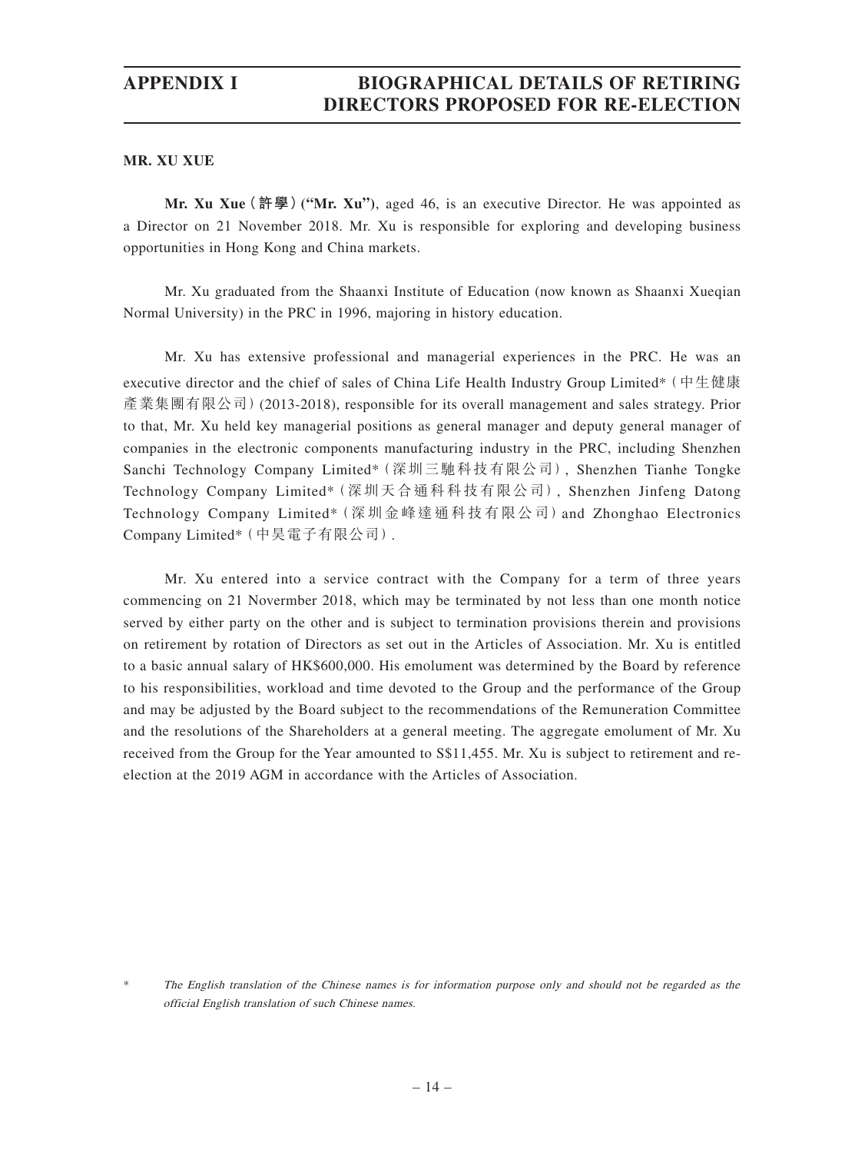**MR. XU XUE**

**Mr. Xu Xue(許學)("Mr. Xu")**, aged 46, is an executive Director. He was appointed as a Director on 21 November 2018. Mr. Xu is responsible for exploring and developing business opportunities in Hong Kong and China markets.

Mr. Xu graduated from the Shaanxi Institute of Education (now known as Shaanxi Xueqian Normal University) in the PRC in 1996, majoring in history education.

Mr. Xu has extensive professional and managerial experiences in the PRC. He was an executive director and the chief of sales of China Life Health Industry Group Limited\*(中生健康 產業集團有限公司)(2013-2018), responsible for its overall management and sales strategy. Prior to that, Mr. Xu held key managerial positions as general manager and deputy general manager of companies in the electronic components manufacturing industry in the PRC, including Shenzhen Sanchi Technology Company Limited\*(深圳三馳科技有限公司), Shenzhen Tianhe Tongke Technology Company Limited\*(深圳天合通科科技有限公司), Shenzhen Jinfeng Datong Technology Company Limited\* (深圳金峰達通科技有限公司) and Zhonghao Electronics Company Limited\*(中昊電子有限公司).

Mr. Xu entered into a service contract with the Company for a term of three years commencing on 21 Novermber 2018, which may be terminated by not less than one month notice served by either party on the other and is subject to termination provisions therein and provisions on retirement by rotation of Directors as set out in the Articles of Association. Mr. Xu is entitled to a basic annual salary of HK\$600,000. His emolument was determined by the Board by reference to his responsibilities, workload and time devoted to the Group and the performance of the Group and may be adjusted by the Board subject to the recommendations of the Remuneration Committee and the resolutions of the Shareholders at a general meeting. The aggregate emolument of Mr. Xu received from the Group for the Year amounted to S\$11,455. Mr. Xu is subject to retirement and reelection at the 2019 AGM in accordance with the Articles of Association.

The English translation of the Chinese names is for information purpose only and should not be regarded as the official English translation of such Chinese names.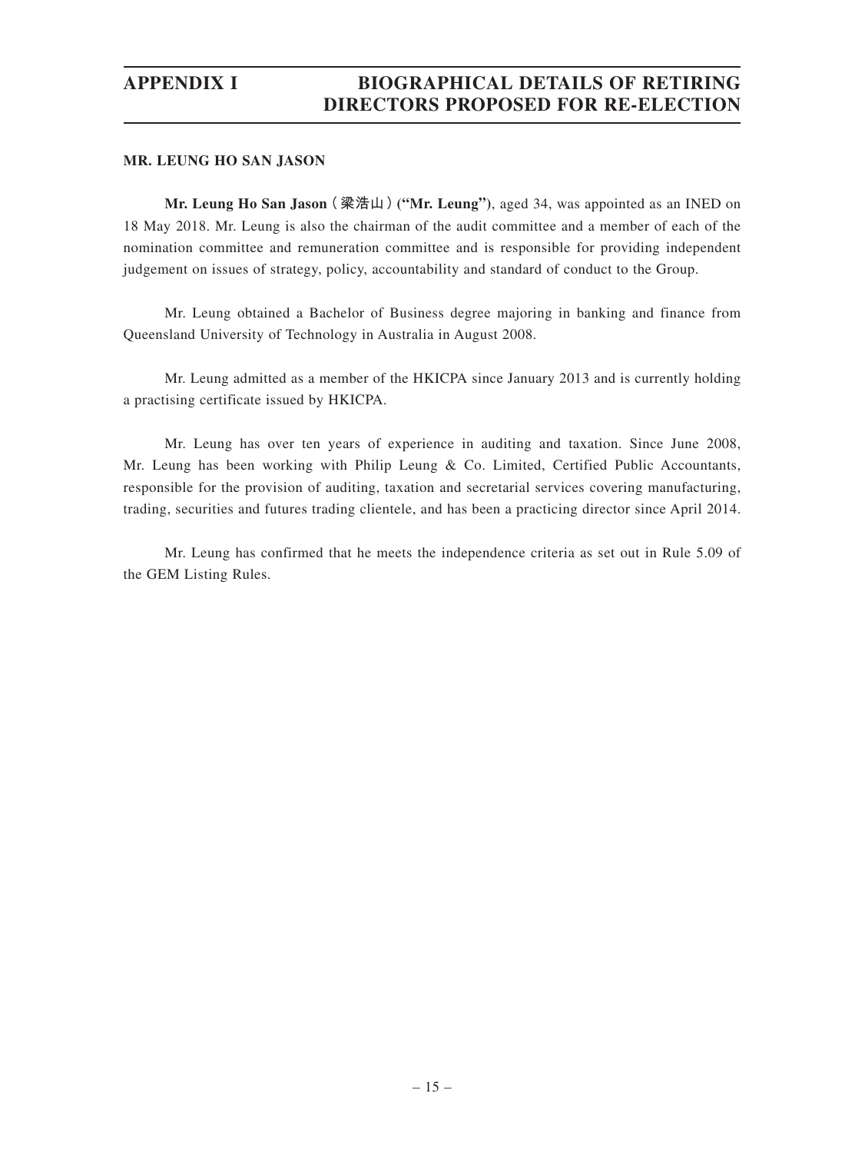#### **MR. LEUNG HO SAN JASON**

**Mr. Leung Ho San Jason(梁浩山)("Mr. Leung")**, aged 34, was appointed as an INED on 18 May 2018. Mr. Leung is also the chairman of the audit committee and a member of each of the nomination committee and remuneration committee and is responsible for providing independent judgement on issues of strategy, policy, accountability and standard of conduct to the Group.

Mr. Leung obtained a Bachelor of Business degree majoring in banking and finance from Queensland University of Technology in Australia in August 2008.

Mr. Leung admitted as a member of the HKICPA since January 2013 and is currently holding a practising certificate issued by HKICPA.

Mr. Leung has over ten years of experience in auditing and taxation. Since June 2008, Mr. Leung has been working with Philip Leung & Co. Limited, Certified Public Accountants, responsible for the provision of auditing, taxation and secretarial services covering manufacturing, trading, securities and futures trading clientele, and has been a practicing director since April 2014.

Mr. Leung has confirmed that he meets the independence criteria as set out in Rule 5.09 of the GEM Listing Rules.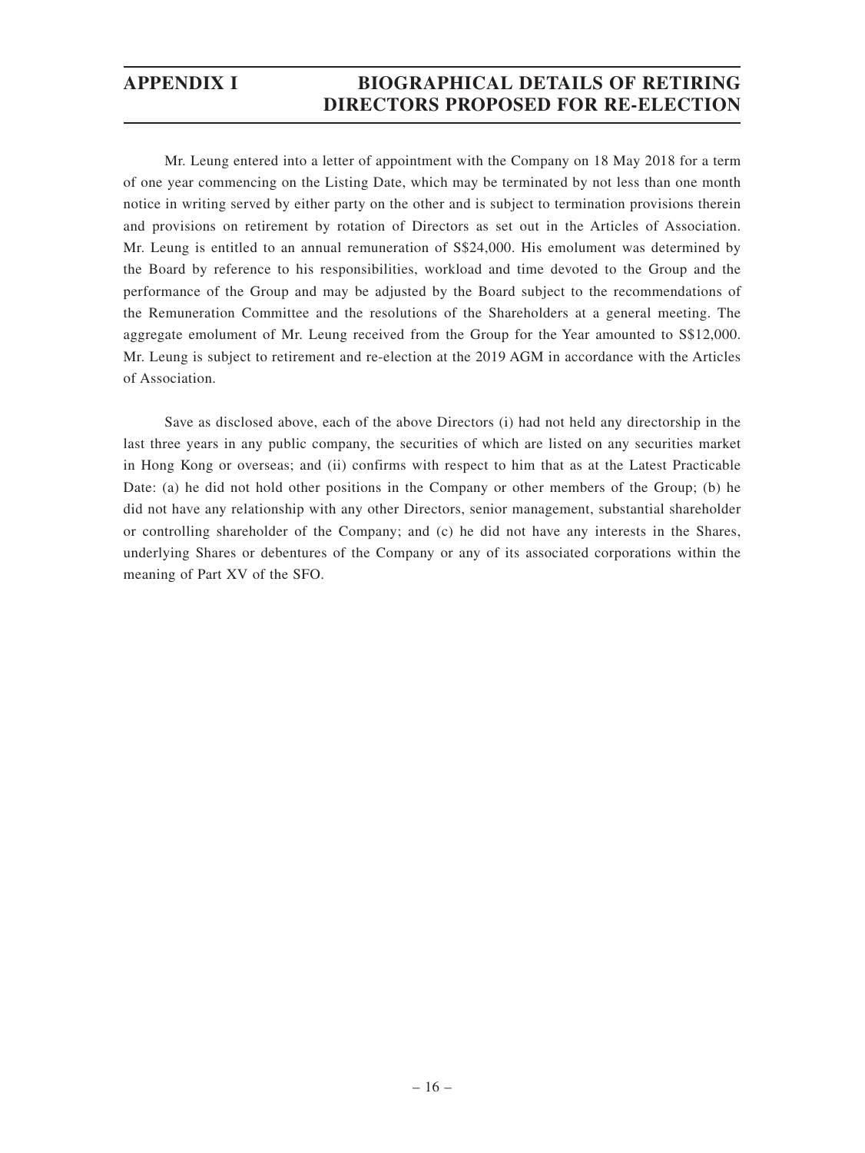Mr. Leung entered into a letter of appointment with the Company on 18 May 2018 for a term of one year commencing on the Listing Date, which may be terminated by not less than one month notice in writing served by either party on the other and is subject to termination provisions therein and provisions on retirement by rotation of Directors as set out in the Articles of Association. Mr. Leung is entitled to an annual remuneration of S\$24,000. His emolument was determined by the Board by reference to his responsibilities, workload and time devoted to the Group and the performance of the Group and may be adjusted by the Board subject to the recommendations of the Remuneration Committee and the resolutions of the Shareholders at a general meeting. The aggregate emolument of Mr. Leung received from the Group for the Year amounted to S\$12,000. Mr. Leung is subject to retirement and re-election at the 2019 AGM in accordance with the Articles of Association.

Save as disclosed above, each of the above Directors (i) had not held any directorship in the last three years in any public company, the securities of which are listed on any securities market in Hong Kong or overseas; and (ii) confirms with respect to him that as at the Latest Practicable Date: (a) he did not hold other positions in the Company or other members of the Group; (b) he did not have any relationship with any other Directors, senior management, substantial shareholder or controlling shareholder of the Company; and (c) he did not have any interests in the Shares, underlying Shares or debentures of the Company or any of its associated corporations within the meaning of Part XV of the SFO.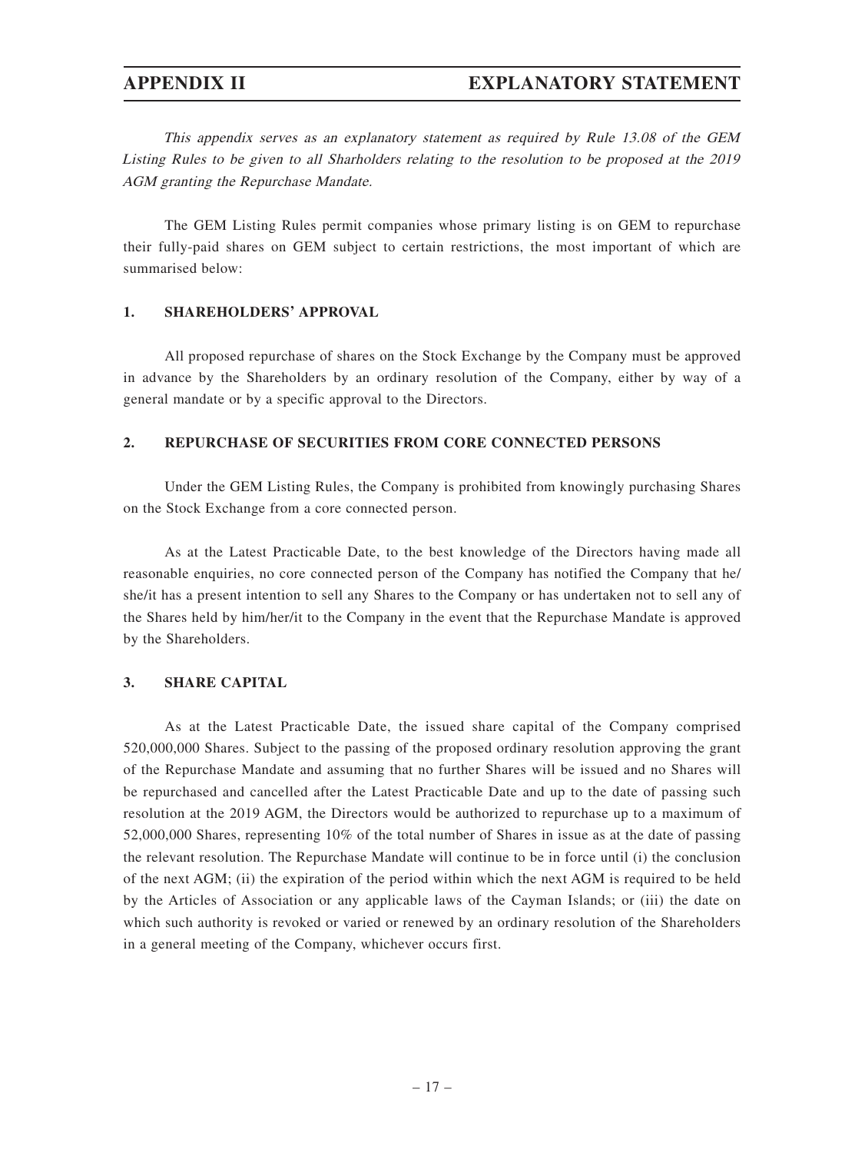This appendix serves as an explanatory statement as required by Rule 13.08 of the GEM Listing Rules to be given to all Sharholders relating to the resolution to be proposed at the 2019 AGM granting the Repurchase Mandate.

The GEM Listing Rules permit companies whose primary listing is on GEM to repurchase their fully-paid shares on GEM subject to certain restrictions, the most important of which are summarised below:

#### **1. SHAREHOLDERS' APPROVAL**

All proposed repurchase of shares on the Stock Exchange by the Company must be approved in advance by the Shareholders by an ordinary resolution of the Company, either by way of a general mandate or by a specific approval to the Directors.

#### **2. REPURCHASE OF SECURITIES FROM CORE CONNECTED PERSONS**

Under the GEM Listing Rules, the Company is prohibited from knowingly purchasing Shares on the Stock Exchange from a core connected person.

As at the Latest Practicable Date, to the best knowledge of the Directors having made all reasonable enquiries, no core connected person of the Company has notified the Company that he/ she/it has a present intention to sell any Shares to the Company or has undertaken not to sell any of the Shares held by him/her/it to the Company in the event that the Repurchase Mandate is approved by the Shareholders.

### **3. SHARE CAPITAL**

As at the Latest Practicable Date, the issued share capital of the Company comprised 520,000,000 Shares. Subject to the passing of the proposed ordinary resolution approving the grant of the Repurchase Mandate and assuming that no further Shares will be issued and no Shares will be repurchased and cancelled after the Latest Practicable Date and up to the date of passing such resolution at the 2019 AGM, the Directors would be authorized to repurchase up to a maximum of 52,000,000 Shares, representing 10% of the total number of Shares in issue as at the date of passing the relevant resolution. The Repurchase Mandate will continue to be in force until (i) the conclusion of the next AGM; (ii) the expiration of the period within which the next AGM is required to be held by the Articles of Association or any applicable laws of the Cayman Islands; or (iii) the date on which such authority is revoked or varied or renewed by an ordinary resolution of the Shareholders in a general meeting of the Company, whichever occurs first.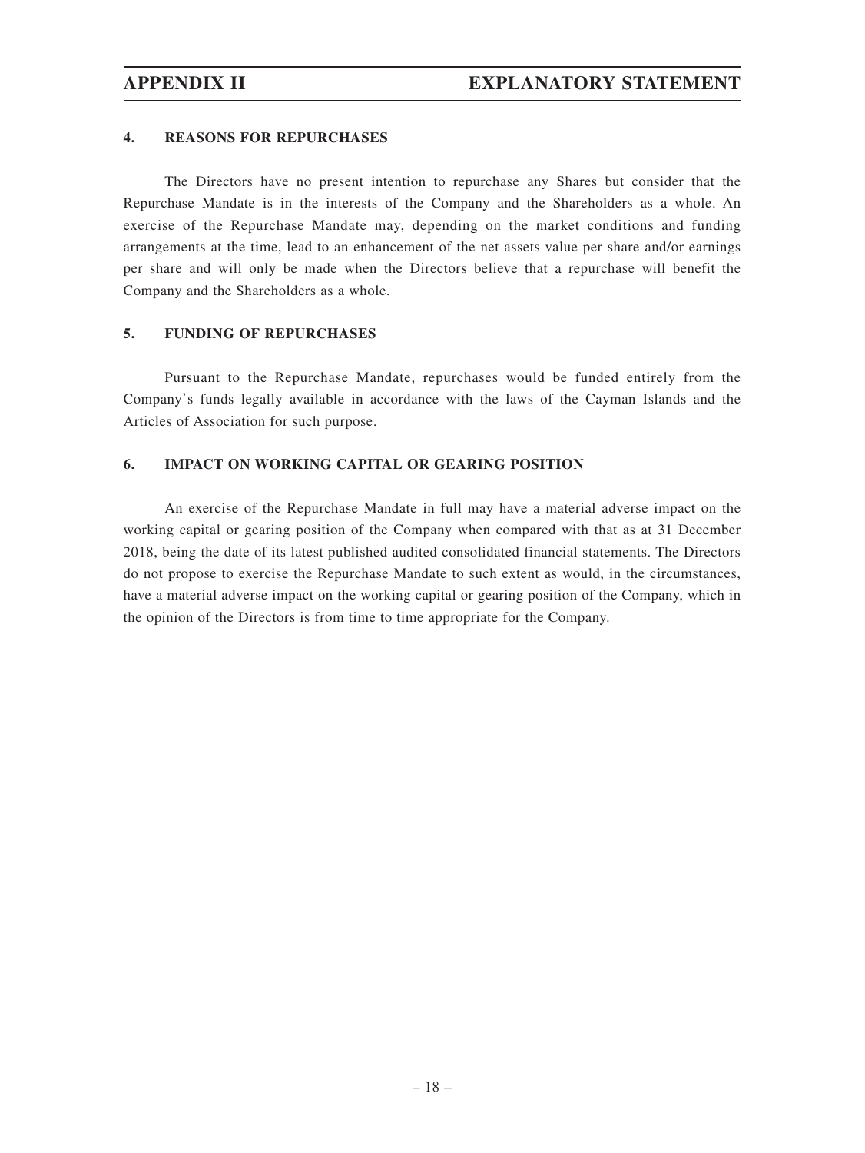#### **4. REASONS FOR REPURCHASES**

The Directors have no present intention to repurchase any Shares but consider that the Repurchase Mandate is in the interests of the Company and the Shareholders as a whole. An exercise of the Repurchase Mandate may, depending on the market conditions and funding arrangements at the time, lead to an enhancement of the net assets value per share and/or earnings per share and will only be made when the Directors believe that a repurchase will benefit the Company and the Shareholders as a whole.

#### **5. FUNDING OF REPURCHASES**

Pursuant to the Repurchase Mandate, repurchases would be funded entirely from the Company's funds legally available in accordance with the laws of the Cayman Islands and the Articles of Association for such purpose.

#### **6. IMPACT ON WORKING CAPITAL OR GEARING POSITION**

An exercise of the Repurchase Mandate in full may have a material adverse impact on the working capital or gearing position of the Company when compared with that as at 31 December 2018, being the date of its latest published audited consolidated financial statements. The Directors do not propose to exercise the Repurchase Mandate to such extent as would, in the circumstances, have a material adverse impact on the working capital or gearing position of the Company, which in the opinion of the Directors is from time to time appropriate for the Company.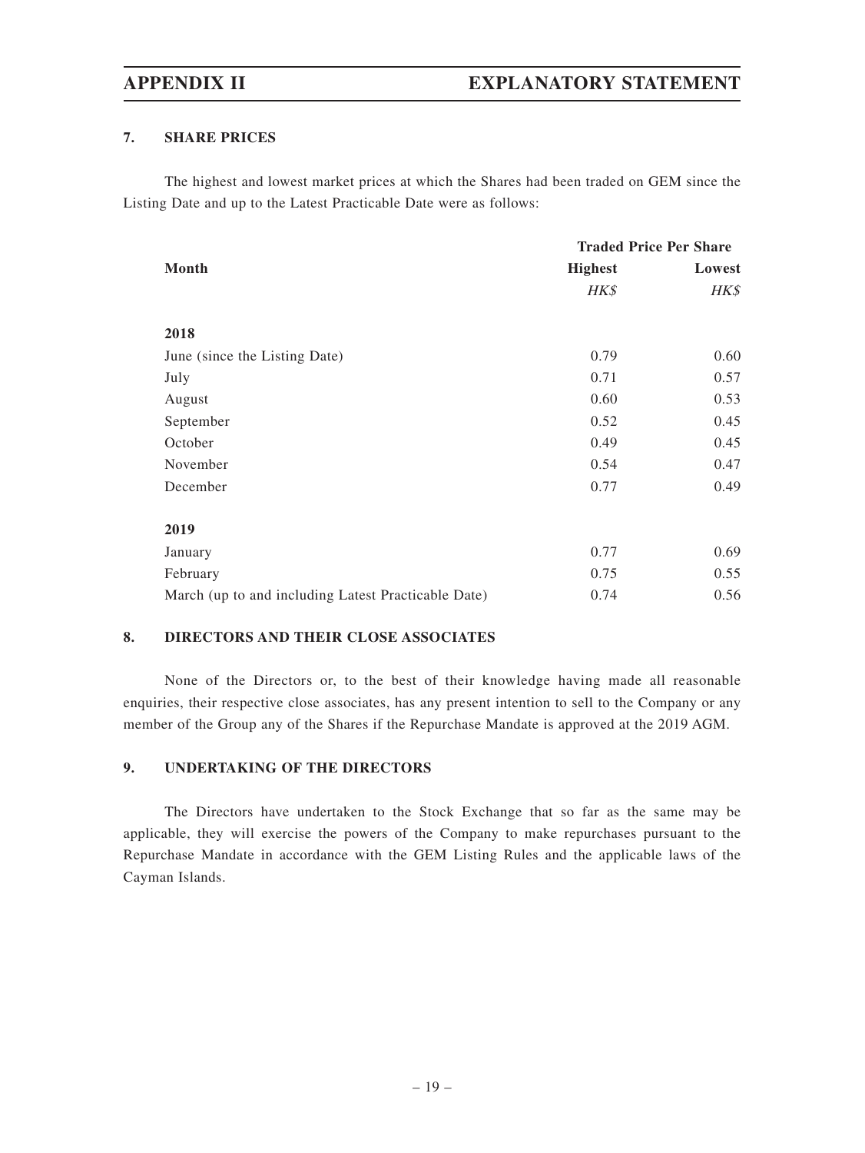### **7. SHARE PRICES**

The highest and lowest market prices at which the Shares had been traded on GEM since the Listing Date and up to the Latest Practicable Date were as follows:

|                                                     | <b>Traded Price Per Share</b> |        |
|-----------------------------------------------------|-------------------------------|--------|
| Month                                               | <b>Highest</b>                | Lowest |
|                                                     | HK\$                          | HK\$   |
| 2018                                                |                               |        |
| June (since the Listing Date)                       | 0.79                          | 0.60   |
| July                                                | 0.71                          | 0.57   |
| August                                              | 0.60                          | 0.53   |
| September                                           | 0.52                          | 0.45   |
| October                                             | 0.49                          | 0.45   |
| November                                            | 0.54                          | 0.47   |
| December                                            | 0.77                          | 0.49   |
| 2019                                                |                               |        |
| January                                             | 0.77                          | 0.69   |
| February                                            | 0.75                          | 0.55   |
| March (up to and including Latest Practicable Date) | 0.74                          | 0.56   |

### **8. DIRECTORS AND THEIR CLOSE ASSOCIATES**

None of the Directors or, to the best of their knowledge having made all reasonable enquiries, their respective close associates, has any present intention to sell to the Company or any member of the Group any of the Shares if the Repurchase Mandate is approved at the 2019 AGM.

### **9. UNDERTAKING OF THE DIRECTORS**

The Directors have undertaken to the Stock Exchange that so far as the same may be applicable, they will exercise the powers of the Company to make repurchases pursuant to the Repurchase Mandate in accordance with the GEM Listing Rules and the applicable laws of the Cayman Islands.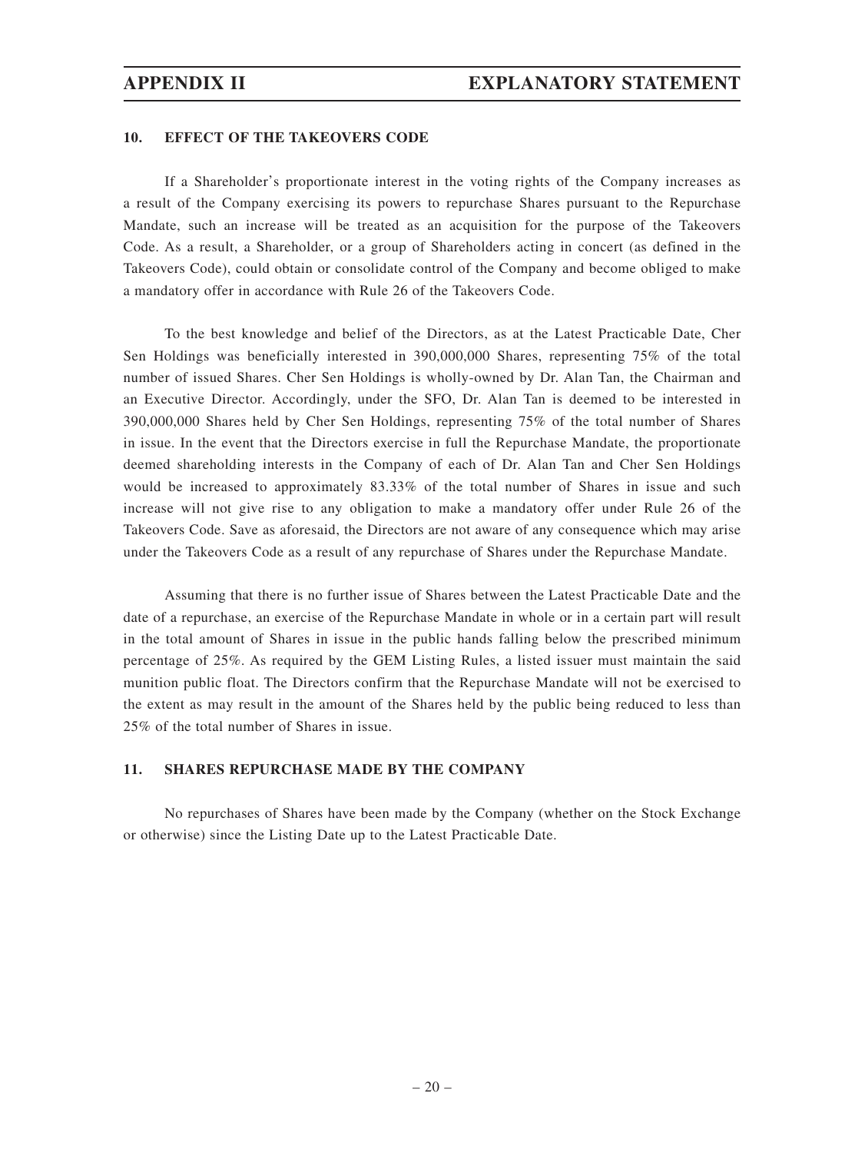#### **10. EFFECT OF THE TAKEOVERS CODE**

If a Shareholder's proportionate interest in the voting rights of the Company increases as a result of the Company exercising its powers to repurchase Shares pursuant to the Repurchase Mandate, such an increase will be treated as an acquisition for the purpose of the Takeovers Code. As a result, a Shareholder, or a group of Shareholders acting in concert (as defined in the Takeovers Code), could obtain or consolidate control of the Company and become obliged to make a mandatory offer in accordance with Rule 26 of the Takeovers Code.

To the best knowledge and belief of the Directors, as at the Latest Practicable Date, Cher Sen Holdings was beneficially interested in 390,000,000 Shares, representing 75% of the total number of issued Shares. Cher Sen Holdings is wholly-owned by Dr. Alan Tan, the Chairman and an Executive Director. Accordingly, under the SFO, Dr. Alan Tan is deemed to be interested in 390,000,000 Shares held by Cher Sen Holdings, representing 75% of the total number of Shares in issue. In the event that the Directors exercise in full the Repurchase Mandate, the proportionate deemed shareholding interests in the Company of each of Dr. Alan Tan and Cher Sen Holdings would be increased to approximately 83.33% of the total number of Shares in issue and such increase will not give rise to any obligation to make a mandatory offer under Rule 26 of the Takeovers Code. Save as aforesaid, the Directors are not aware of any consequence which may arise under the Takeovers Code as a result of any repurchase of Shares under the Repurchase Mandate.

Assuming that there is no further issue of Shares between the Latest Practicable Date and the date of a repurchase, an exercise of the Repurchase Mandate in whole or in a certain part will result in the total amount of Shares in issue in the public hands falling below the prescribed minimum percentage of 25%. As required by the GEM Listing Rules, a listed issuer must maintain the said munition public float. The Directors confirm that the Repurchase Mandate will not be exercised to the extent as may result in the amount of the Shares held by the public being reduced to less than 25% of the total number of Shares in issue.

#### **11. SHARES REPURCHASE MADE BY THE COMPANY**

No repurchases of Shares have been made by the Company (whether on the Stock Exchange or otherwise) since the Listing Date up to the Latest Practicable Date.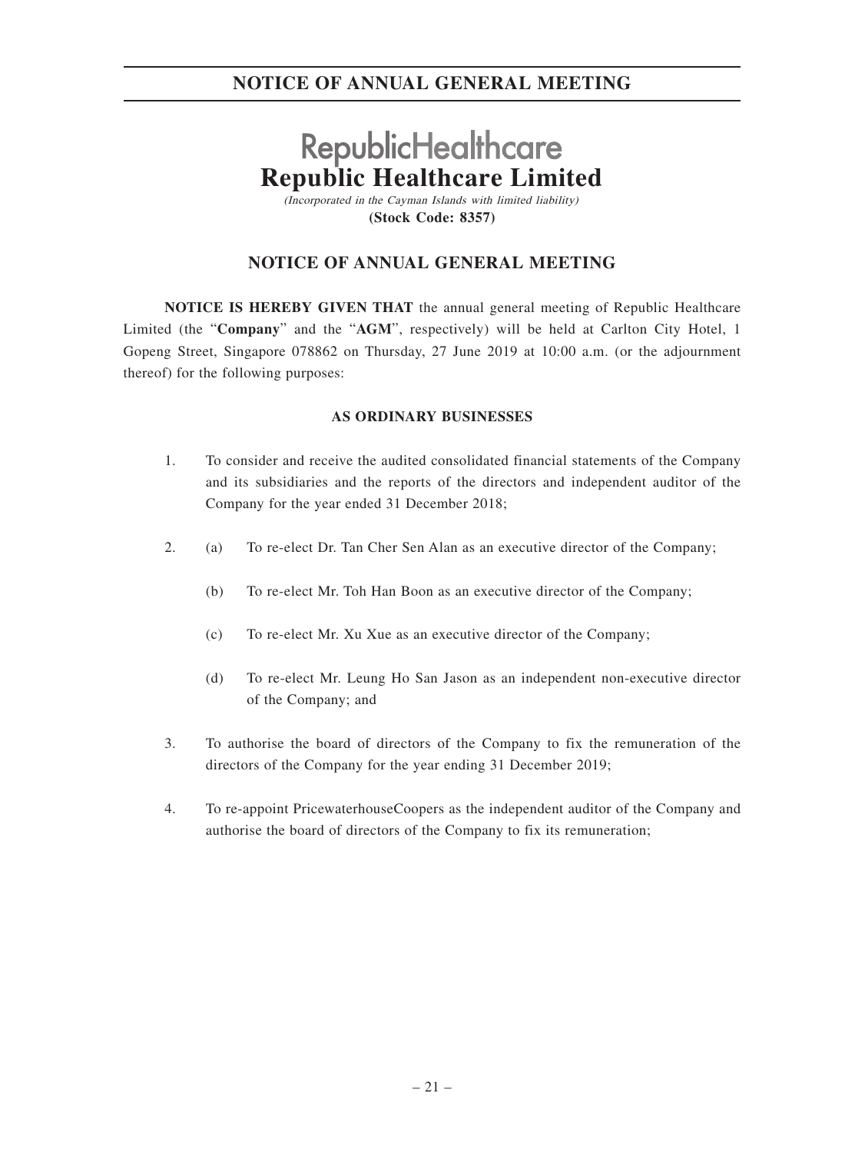# **RepublicHealthcare Republic Healthcare Limited**

(Incorporated in the Cayman Islands with limited liability) **(Stock Code: 8357)**

## **NOTICE OF ANNUAL GENERAL MEETING**

**NOTICE IS HEREBY GIVEN THAT** the annual general meeting of Republic Healthcare Limited (the "**Company**" and the "**AGM**", respectively) will be held at Carlton City Hotel, 1 Gopeng Street, Singapore 078862 on Thursday, 27 June 2019 at 10:00 a.m. (or the adjournment thereof) for the following purposes:

### **AS ORDINARY BUSINESSES**

- 1. To consider and receive the audited consolidated financial statements of the Company and its subsidiaries and the reports of the directors and independent auditor of the Company for the year ended 31 December 2018;
- 2. (a) To re-elect Dr. Tan Cher Sen Alan as an executive director of the Company;
	- (b) To re-elect Mr. Toh Han Boon as an executive director of the Company;
	- (c) To re-elect Mr. Xu Xue as an executive director of the Company;
	- (d) To re-elect Mr. Leung Ho San Jason as an independent non-executive director of the Company; and
- 3. To authorise the board of directors of the Company to fix the remuneration of the directors of the Company for the year ending 31 December 2019;
- 4. To re-appoint PricewaterhouseCoopers as the independent auditor of the Company and authorise the board of directors of the Company to fix its remuneration;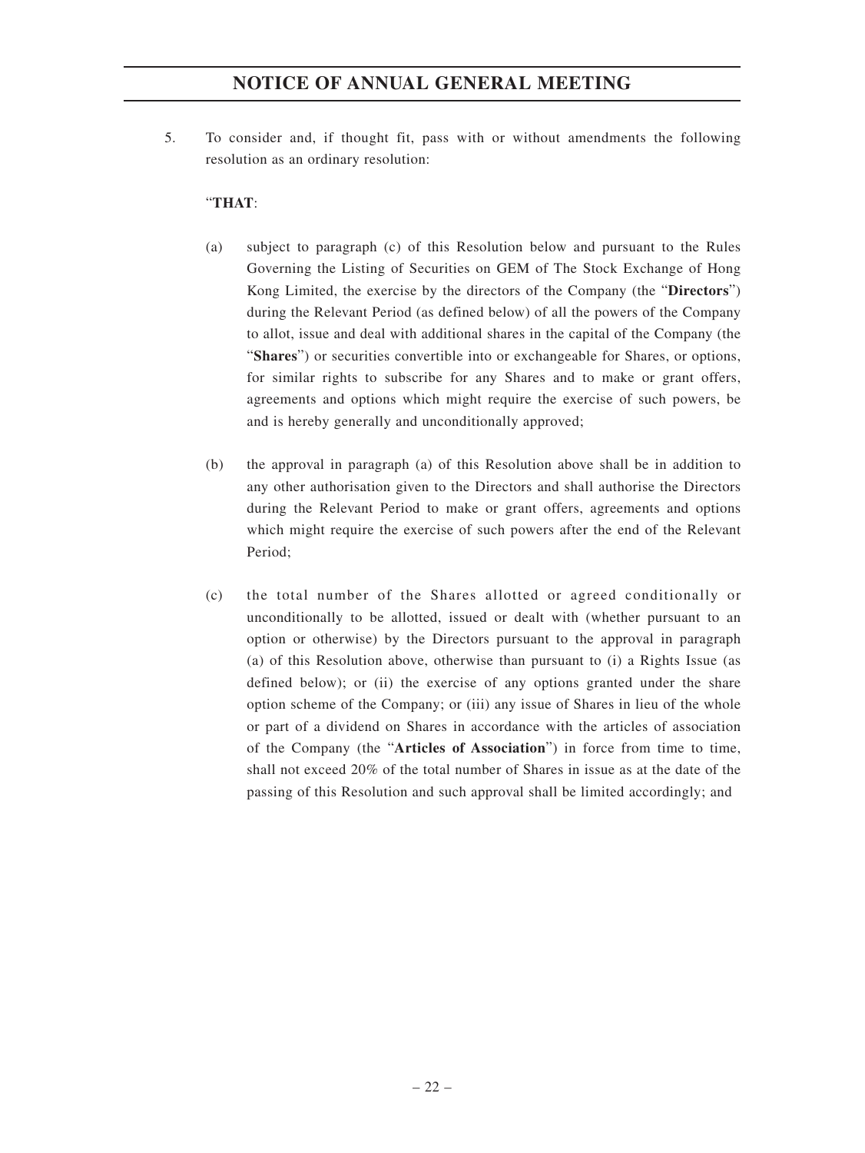5. To consider and, if thought fit, pass with or without amendments the following resolution as an ordinary resolution:

#### "**THAT**:

- (a) subject to paragraph (c) of this Resolution below and pursuant to the Rules Governing the Listing of Securities on GEM of The Stock Exchange of Hong Kong Limited, the exercise by the directors of the Company (the "**Directors**") during the Relevant Period (as defined below) of all the powers of the Company to allot, issue and deal with additional shares in the capital of the Company (the "**Shares**") or securities convertible into or exchangeable for Shares, or options, for similar rights to subscribe for any Shares and to make or grant offers, agreements and options which might require the exercise of such powers, be and is hereby generally and unconditionally approved;
- (b) the approval in paragraph (a) of this Resolution above shall be in addition to any other authorisation given to the Directors and shall authorise the Directors during the Relevant Period to make or grant offers, agreements and options which might require the exercise of such powers after the end of the Relevant Period;
- (c) the total number of the Shares allotted or agreed conditionally or unconditionally to be allotted, issued or dealt with (whether pursuant to an option or otherwise) by the Directors pursuant to the approval in paragraph (a) of this Resolution above, otherwise than pursuant to (i) a Rights Issue (as defined below); or (ii) the exercise of any options granted under the share option scheme of the Company; or (iii) any issue of Shares in lieu of the whole or part of a dividend on Shares in accordance with the articles of association of the Company (the "**Articles of Association**") in force from time to time, shall not exceed 20% of the total number of Shares in issue as at the date of the passing of this Resolution and such approval shall be limited accordingly; and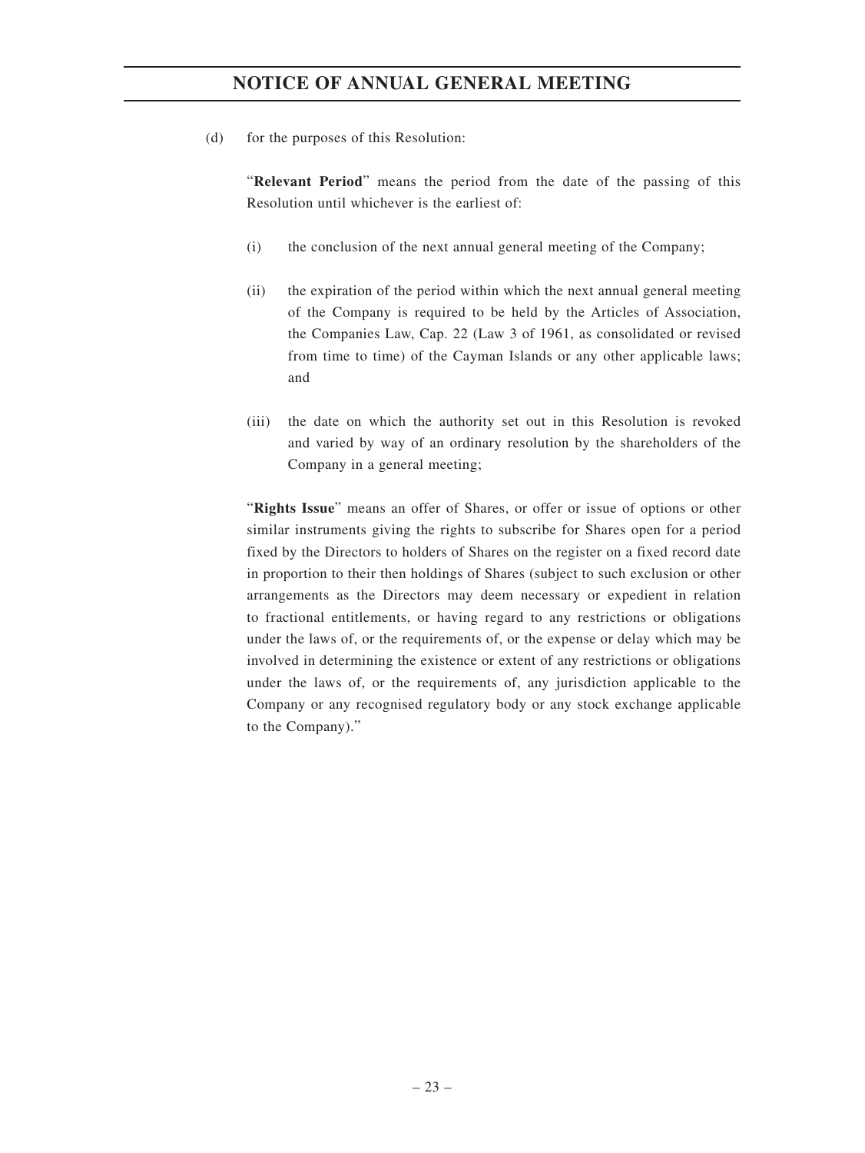(d) for the purposes of this Resolution:

"**Relevant Period**" means the period from the date of the passing of this Resolution until whichever is the earliest of:

- (i) the conclusion of the next annual general meeting of the Company;
- (ii) the expiration of the period within which the next annual general meeting of the Company is required to be held by the Articles of Association, the Companies Law, Cap. 22 (Law 3 of 1961, as consolidated or revised from time to time) of the Cayman Islands or any other applicable laws; and
- (iii) the date on which the authority set out in this Resolution is revoked and varied by way of an ordinary resolution by the shareholders of the Company in a general meeting;

"**Rights Issue**" means an offer of Shares, or offer or issue of options or other similar instruments giving the rights to subscribe for Shares open for a period fixed by the Directors to holders of Shares on the register on a fixed record date in proportion to their then holdings of Shares (subject to such exclusion or other arrangements as the Directors may deem necessary or expedient in relation to fractional entitlements, or having regard to any restrictions or obligations under the laws of, or the requirements of, or the expense or delay which may be involved in determining the existence or extent of any restrictions or obligations under the laws of, or the requirements of, any jurisdiction applicable to the Company or any recognised regulatory body or any stock exchange applicable to the Company)."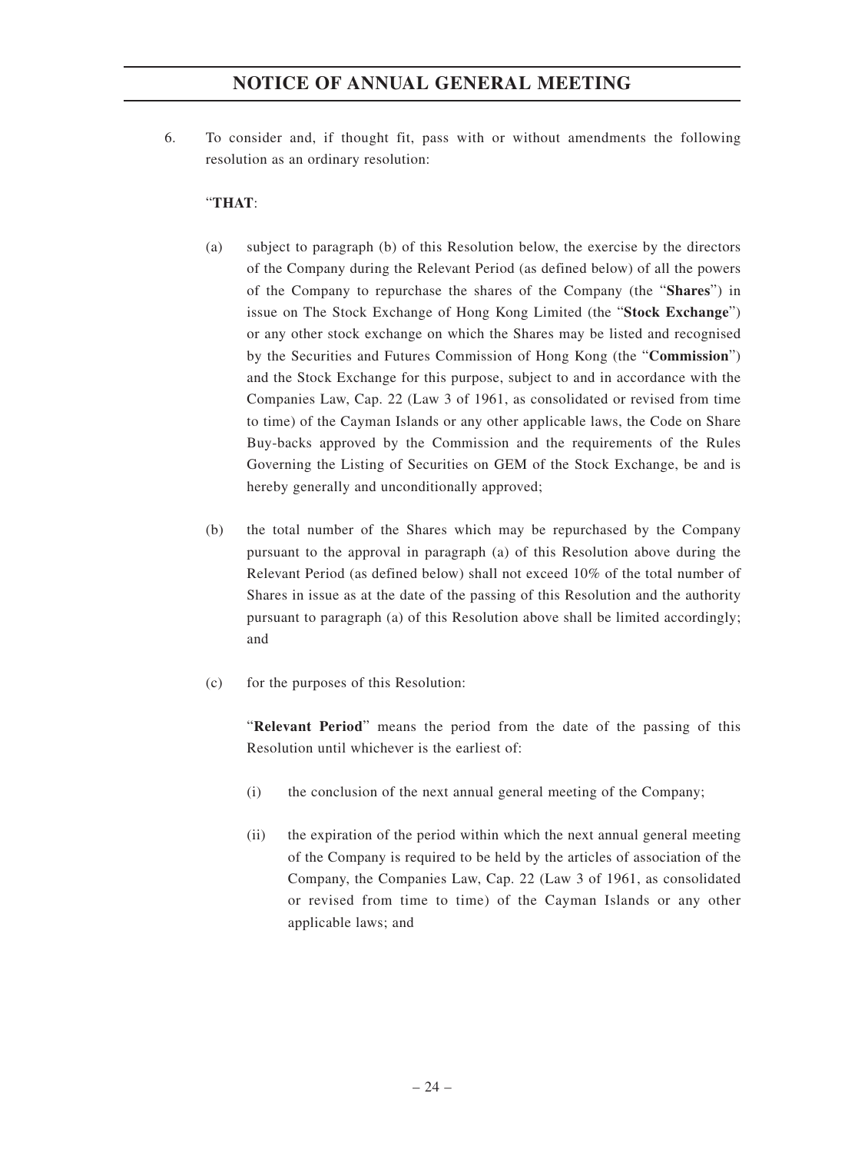6. To consider and, if thought fit, pass with or without amendments the following resolution as an ordinary resolution:

### "**THAT**:

- (a) subject to paragraph (b) of this Resolution below, the exercise by the directors of the Company during the Relevant Period (as defined below) of all the powers of the Company to repurchase the shares of the Company (the "**Shares**") in issue on The Stock Exchange of Hong Kong Limited (the "**Stock Exchange**") or any other stock exchange on which the Shares may be listed and recognised by the Securities and Futures Commission of Hong Kong (the "**Commission**") and the Stock Exchange for this purpose, subject to and in accordance with the Companies Law, Cap. 22 (Law 3 of 1961, as consolidated or revised from time to time) of the Cayman Islands or any other applicable laws, the Code on Share Buy-backs approved by the Commission and the requirements of the Rules Governing the Listing of Securities on GEM of the Stock Exchange, be and is hereby generally and unconditionally approved;
- (b) the total number of the Shares which may be repurchased by the Company pursuant to the approval in paragraph (a) of this Resolution above during the Relevant Period (as defined below) shall not exceed 10% of the total number of Shares in issue as at the date of the passing of this Resolution and the authority pursuant to paragraph (a) of this Resolution above shall be limited accordingly; and
- (c) for the purposes of this Resolution:

"**Relevant Period**" means the period from the date of the passing of this Resolution until whichever is the earliest of:

- (i) the conclusion of the next annual general meeting of the Company;
- (ii) the expiration of the period within which the next annual general meeting of the Company is required to be held by the articles of association of the Company, the Companies Law, Cap. 22 (Law 3 of 1961, as consolidated or revised from time to time) of the Cayman Islands or any other applicable laws; and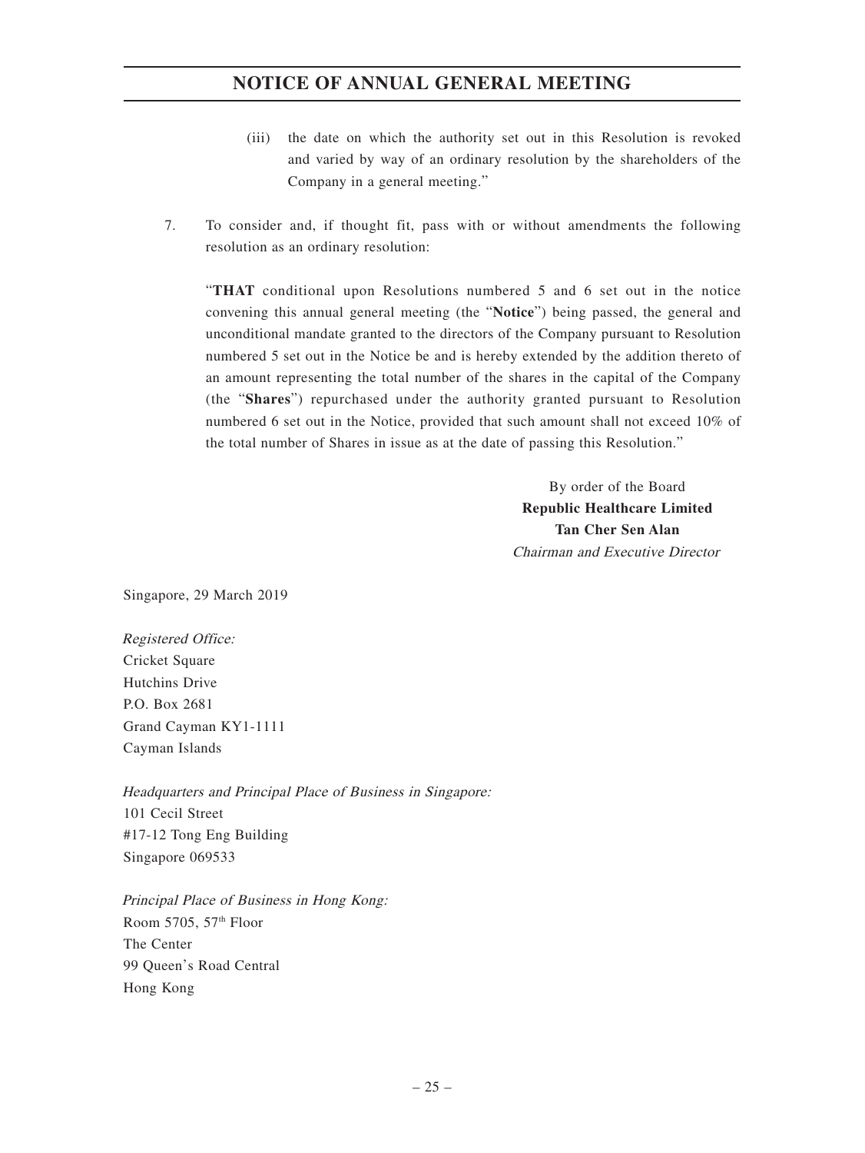- (iii) the date on which the authority set out in this Resolution is revoked and varied by way of an ordinary resolution by the shareholders of the Company in a general meeting."
- 7. To consider and, if thought fit, pass with or without amendments the following resolution as an ordinary resolution:

"**THAT** conditional upon Resolutions numbered 5 and 6 set out in the notice convening this annual general meeting (the "**Notice**") being passed, the general and unconditional mandate granted to the directors of the Company pursuant to Resolution numbered 5 set out in the Notice be and is hereby extended by the addition thereto of an amount representing the total number of the shares in the capital of the Company (the "**Shares**") repurchased under the authority granted pursuant to Resolution numbered 6 set out in the Notice, provided that such amount shall not exceed 10% of the total number of Shares in issue as at the date of passing this Resolution."

> By order of the Board **Republic Healthcare Limited Tan Cher Sen Alan** Chairman and Executive Director

Singapore, 29 March 2019

Registered Office: Cricket Square Hutchins Drive P.O. Box 2681 Grand Cayman KY1-1111 Cayman Islands

Headquarters and Principal Place of Business in Singapore: 101 Cecil Street #17-12 Tong Eng Building Singapore 069533

Principal Place of Business in Hong Kong: Room 5705, 57th Floor The Center 99 Queen's Road Central Hong Kong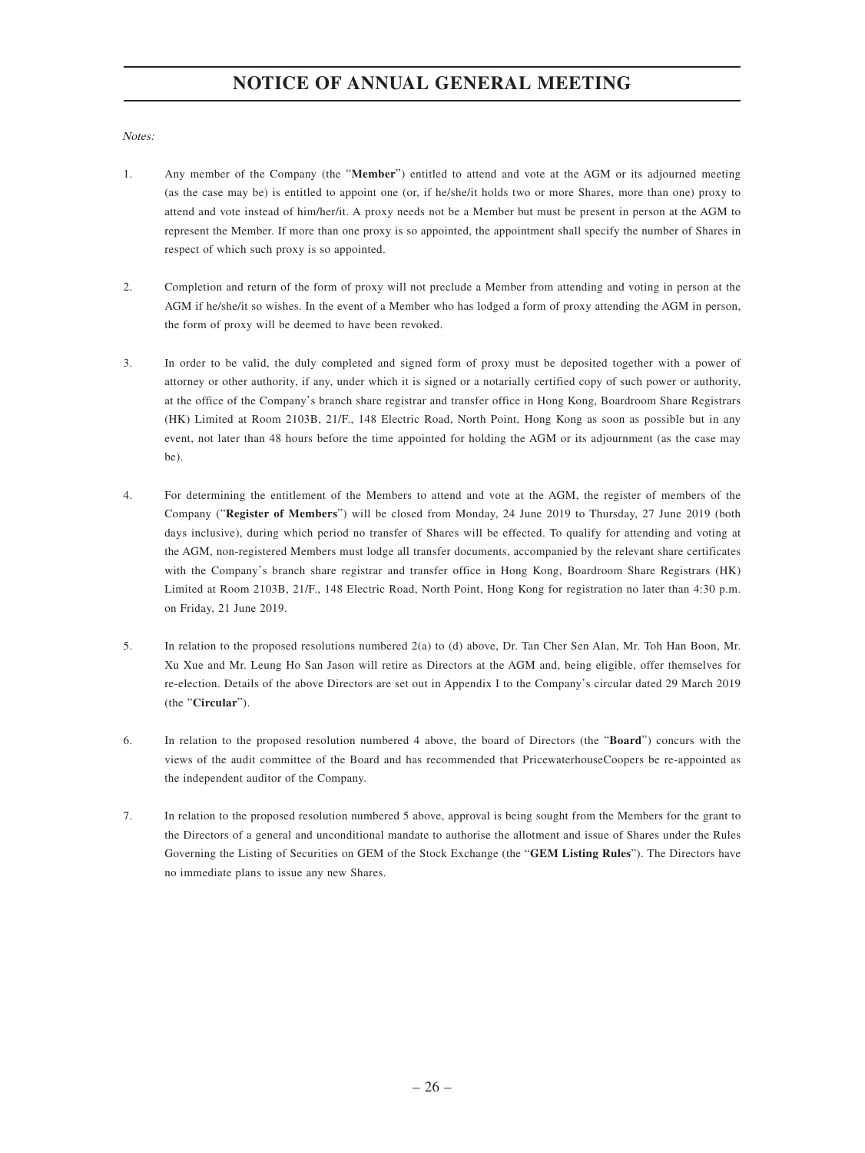Notes:

- 1. Any member of the Company (the "**Member**") entitled to attend and vote at the AGM or its adjourned meeting (as the case may be) is entitled to appoint one (or, if he/she/it holds two or more Shares, more than one) proxy to attend and vote instead of him/her/it. A proxy needs not be a Member but must be present in person at the AGM to represent the Member. If more than one proxy is so appointed, the appointment shall specify the number of Shares in respect of which such proxy is so appointed.
- 2. Completion and return of the form of proxy will not preclude a Member from attending and voting in person at the AGM if he/she/it so wishes. In the event of a Member who has lodged a form of proxy attending the AGM in person, the form of proxy will be deemed to have been revoked.
- 3. In order to be valid, the duly completed and signed form of proxy must be deposited together with a power of attorney or other authority, if any, under which it is signed or a notarially certified copy of such power or authority, at the office of the Company's branch share registrar and transfer office in Hong Kong, Boardroom Share Registrars (HK) Limited at Room 2103B, 21/F., 148 Electric Road, North Point, Hong Kong as soon as possible but in any event, not later than 48 hours before the time appointed for holding the AGM or its adjournment (as the case may be).
- 4. For determining the entitlement of the Members to attend and vote at the AGM, the register of members of the Company ("**Register of Members**") will be closed from Monday, 24 June 2019 to Thursday, 27 June 2019 (both days inclusive), during which period no transfer of Shares will be effected. To qualify for attending and voting at the AGM, non-registered Members must lodge all transfer documents, accompanied by the relevant share certificates with the Company's branch share registrar and transfer office in Hong Kong, Boardroom Share Registrars (HK) Limited at Room 2103B, 21/F., 148 Electric Road, North Point, Hong Kong for registration no later than 4:30 p.m. on Friday, 21 June 2019.
- 5. In relation to the proposed resolutions numbered 2(a) to (d) above, Dr. Tan Cher Sen Alan, Mr. Toh Han Boon, Mr. Xu Xue and Mr. Leung Ho San Jason will retire as Directors at the AGM and, being eligible, offer themselves for re-election. Details of the above Directors are set out in Appendix I to the Company's circular dated 29 March 2019 (the "**Circular**").
- 6. In relation to the proposed resolution numbered 4 above, the board of Directors (the "**Board**") concurs with the views of the audit committee of the Board and has recommended that PricewaterhouseCoopers be re-appointed as the independent auditor of the Company.
- 7. In relation to the proposed resolution numbered 5 above, approval is being sought from the Members for the grant to the Directors of a general and unconditional mandate to authorise the allotment and issue of Shares under the Rules Governing the Listing of Securities on GEM of the Stock Exchange (the "**GEM Listing Rules**"). The Directors have no immediate plans to issue any new Shares.